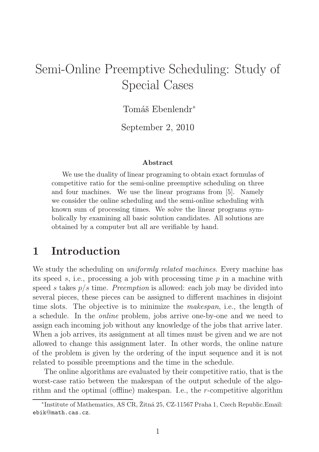# Semi-Online Preemptive Scheduling: Study of Special Cases

Tomáš Ebenlendr<sup>∗</sup>

September 2, 2010

#### Abstract

We use the duality of linear programing to obtain exact formulas of competitive ratio for the semi-online preemptive scheduling on three and four machines. We use the linear programs from [5]. Namely we consider the online scheduling and the semi-online scheduling with known sum of processing times. We solve the linear programs symbolically by examining all basic solution candidates. All solutions are obtained by a computer but all are verifiable by hand.

## 1 Introduction

We study the scheduling on *uniformly related machines*. Every machine has its speed s, i.e., processing a job with processing time  $p$  in a machine with speed s takes  $p/s$  time. Preemption is allowed: each job may be divided into several pieces, these pieces can be assigned to different machines in disjoint time slots. The objective is to minimize the *makespan*, i.e., the length of a schedule. In the online problem, jobs arrive one-by-one and we need to assign each incoming job without any knowledge of the jobs that arrive later. When a job arrives, its assignment at all times must be given and we are not allowed to change this assignment later. In other words, the online nature of the problem is given by the ordering of the input sequence and it is not related to possible preemptions and the time in the schedule.

The online algorithms are evaluated by their competitive ratio, that is the worst-case ratio between the makespan of the output schedule of the algorithm and the optimal (offline) makespan. I.e., the r-competitive algorithm

<sup>∗</sup> Institute of Mathematics, AS CR, Žitná 25, CZ-11567 Praha 1, Czech Republic.Email: ebik@math.cas.cz.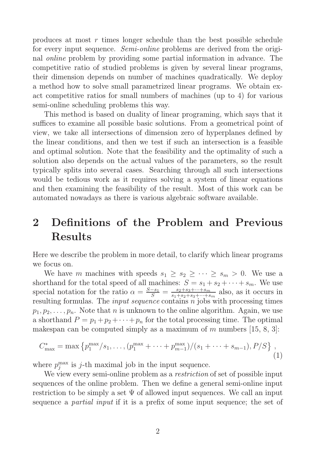produces at most r times longer schedule than the best possible schedule for every input sequence. Semi-online problems are derived from the original online problem by providing some partial information in advance. The competitive ratio of studied problems is given by several linear programs, their dimension depends on number of machines quadratically. We deploy a method how to solve small parametrized linear programs. We obtain exact competitive ratios for small numbers of machines (up to 4) for various semi-online scheduling problems this way.

This method is based on duality of linear programing, which says that it suffices to examine all possible basic solutions. From a geometrical point of view, we take all intersections of dimension zero of hyperplanes defined by the linear conditions, and then we test if such an intersection is a feasible and optimal solution. Note that the feasibility and the optimality of such a solution also depends on the actual values of the parameters, so the result typically splits into several cases. Searching through all such intersections would be tedious work as it requires solving a system of linear equations and then examining the feasibility of the result. Most of this work can be automated nowadays as there is various algebraic software available.

## 2 Definitions of the Problem and Previous Results

Here we describe the problem in more detail, to clarify which linear programs we focus on.

We have m machines with speeds  $s_1 \geq s_2 \geq \cdots \geq s_m > 0$ . We use a shorthand for the total speed of all machines:  $S = s_1 + s_2 + \cdots + s_m$ . We use special notation for the ratio  $\alpha = \frac{S-s_1}{S} = \frac{s_2+s_3+\cdots+s_m}{s_1+s_2+s_3+\cdots+s_m}$  $\frac{s_2+s_3+\cdots+s_m}{s_1+s_2+s_3+\cdots+s_m}$  also, as it occurs in resulting formulas. The *input sequence* contains n jobs with processing times  $p_1, p_2, \ldots, p_n$ . Note that n is unknown to the online algorithm. Again, we use a shorthand  $P = p_1 + p_2 + \cdots + p_n$  for the total processing time. The optimal makespan can be computed simply as a maximum of m numbers  $[15, 8, 3]$ :

$$
C_{\max}^* = \max \left\{ p_1^{\max}/s_1, \dots, \left( p_1^{\max} + \dots + p_{m-1}^{\max} \right) / (s_1 + \dots + s_{m-1}), P/S \right\},\tag{1}
$$

where  $p_i^{\max}$  $j_j^{\text{max}}$  is j-th maximal job in the input sequence.

We view every semi-online problem as a *restriction* of set of possible input sequences of the online problem. Then we define a general semi-online input restriction to be simply a set  $\Psi$  of allowed input sequences. We call an input sequence a partial input if it is a prefix of some input sequence; the set of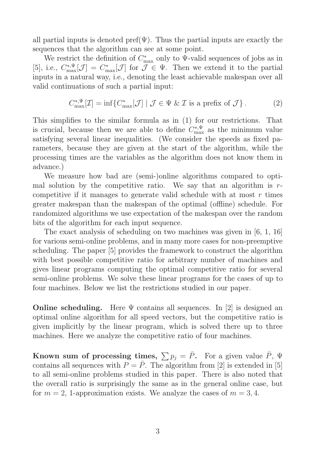all partial inputs is denoted pref( $\Psi$ ). Thus the partial inputs are exactly the sequences that the algorithm can see at some point.

We restrict the definition of  $C^*_{\text{max}}$  only to  $\Psi$ -valid sequences of jobs as in [5], i.e.,  $C_{\text{max}}^{*,\Psi}[\mathcal{J}] = C_{\text{max}}^{*}[\mathcal{J}]$  for  $\mathcal{J} \in \Psi$ . Then we extend it to the partial inputs in a natural way, i.e., denoting the least achievable makespan over all valid continuations of such a partial input:

$$
C_{\max}^{*,\Psi}[\mathcal{I}] = \inf \{ C_{\max}^*[\mathcal{J}] \mid \mathcal{J} \in \Psi \& \mathcal{I} \text{ is a prefix of } \mathcal{J} \}. \tag{2}
$$

This simplifies to the similar formula as in (1) for our restrictions. That is crucial, because then we are able to define  $C_{\text{max}}^{*,\Psi}$  as the minimum value satisfying several linear inequalities. (We consider the speeds as fixed parameters, because they are given at the start of the algorithm, while the processing times are the variables as the algorithm does not know them in advance.)

We measure how bad are (semi-)online algorithms compared to optimal solution by the competitive ratio. We say that an algorithm is  $r$ competitive if it manages to generate valid schedule with at most  $r$  times greater makespan than the makespan of the optimal (offline) schedule. For randomized algorithms we use expectation of the makespan over the random bits of the algorithm for each input sequence.

The exact analysis of scheduling on two machines was given in [6, 1, 16] for various semi-online problems, and in many more cases for non-preemptive scheduling. The paper [5] provides the framework to construct the algorithm with best possible competitive ratio for arbitrary number of machines and gives linear programs computing the optimal competitive ratio for several semi-online problems. We solve these linear programs for the cases of up to four machines. Below we list the restrictions studied in our paper.

**Online scheduling.** Here  $\Psi$  contains all sequences. In [2] is designed an optimal online algorithm for all speed vectors, but the competitive ratio is given implicitly by the linear program, which is solved there up to three machines. Here we analyze the competitive ratio of four machines.

Known sum of processing times,  $\sum p_j = \bar{P}$ . For a given value  $\bar{P}$ ,  $\Psi$ contains all sequences with  $P = \overline{P}$ . The algorithm from [2] is extended in [5] to all semi-online problems studied in this paper. There is also noted that the overall ratio is surprisingly the same as in the general online case, but for  $m = 2$ , 1-approximation exists. We analyze the cases of  $m = 3, 4$ .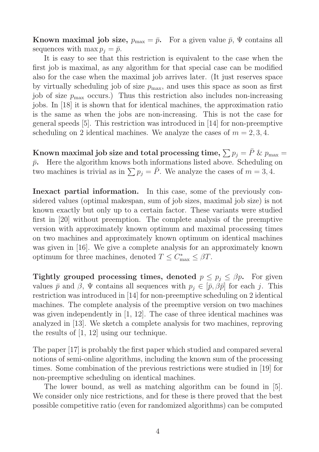Known maximal job size,  $p_{\text{max}} = \bar{p}$ . For a given value  $\bar{p}$ ,  $\Psi$  contains all sequences with max  $p_i = \bar{p}$ .

It is easy to see that this restriction is equivalent to the case when the first job is maximal, as any algorithm for that special case can be modified also for the case when the maximal job arrives later. (It just reserves space by virtually scheduling job of size  $p_{\text{max}}$ , and uses this space as soon as first job of size  $p_{\text{max}}$  occurs.) Thus this restriction also includes non-increasing jobs. In [18] it is shown that for identical machines, the approximation ratio is the same as when the jobs are non-increasing. This is not the case for general speeds [5]. This restriction was introduced in [14] for non-preemptive scheduling on 2 identical machines. We analyze the cases of  $m = 2, 3, 4$ .

Known maximal job size and total processing time,  $\sum p_j = \bar{P} \& p_{\max} =$  $\bar{p}$ . Here the algorithm knows both informations listed above. Scheduling on two machines is trivial as in  $\sum p_j = \overline{P}$ . We analyze the cases of  $m = 3, 4$ .

Inexact partial information. In this case, some of the previously considered values (optimal makespan, sum of job sizes, maximal job size) is not known exactly but only up to a certain factor. These variants were studied first in [20] without preemption. The complete analysis of the preemptive version with approximately known optimum and maximal processing times on two machines and approximately known optimum on identical machines was given in [16]. We give a complete analysis for an approximately known optimum for three machines, denoted  $T \leq C_{\text{max}}^* \leq \beta T$ .

Tightly grouped processing times, denoted  $p \leq p_j \leq \beta p$ . For given values  $\bar{p}$  and  $\beta$ ,  $\Psi$  contains all sequences with  $p_j \in [\bar{p}, \beta \bar{p}]$  for each j. This restriction was introduced in [14] for non-preemptive scheduling on 2 identical machines. The complete analysis of the preemptive version on two machines was given independently in [1, 12]. The case of three identical machines was analyzed in [13]. We sketch a complete analysis for two machines, reproving the results of [1, 12] using our technique.

The paper [17] is probably the first paper which studied and compared several notions of semi-online algorithms, including the known sum of the processing times. Some combination of the previous restrictions were studied in [19] for non-preemptive scheduling on identical machines.

The lower bound, as well as matching algorithm can be found in [5]. We consider only nice restrictions, and for these is there proved that the best possible competitive ratio (even for randomized algorithms) can be computed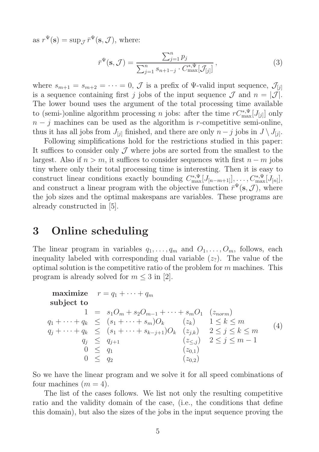as  $r^{\Psi}(\mathbf{s}) = \sup_{\mathcal{J}} \bar{r}^{\Psi}(\mathbf{s}, \mathcal{J})$ , where:

$$
\bar{r}^{\Psi}(\mathbf{s}, \mathcal{J}) = \frac{\sum_{j=1}^{n} p_j}{\sum_{j=1}^{n} s_{n+1-j} \cdot C_{\max}^{*,\Psi}[\mathcal{J}_{[j]}]},
$$
\n(3)

where  $s_{m+1} = s_{m+2} = \cdots = 0$ ,  $\mathcal{J}$  is a prefix of  $\Psi$ -valid input sequence,  $\mathcal{J}_{[j]}$ is a sequence containing first j jobs of the input sequence  $\mathcal J$  and  $n = |\mathcal J|$ . The lower bound uses the argument of the total processing time available to (semi-)online algorithm processing *n* jobs: after the time  $rC_{\text{max}}^{*,\Psi}[J_{[j]}]$  only  $n - j$  machines can be used as the algorithm is r-competitive semi-online, thus it has all jobs from  $J_{[j]}$  finished, and there are only  $n - j$  jobs in  $J \setminus J_{[j]}$ .

Following simplifications hold for the restrictions studied in this paper: It suffices to consider only  $\mathcal J$  where jobs are sorted from the smallest to the largest. Also if  $n > m$ , it suffices to consider sequences with first  $n - m$  jobs tiny where only their total processing time is interesting. Then it is easy to construct linear conditions exactly bounding  $C_{\max}^{*,\Psi}[J_{[n-m+1]}], \ldots, C_{\max}^{*,\Psi}[J_{[n]}],$ and construct a linear program with the objective function  $\bar{r}^{\Psi}(\mathbf{s}, \mathcal{J})$ , where the job sizes and the optimal makespans are variables. These programs are already constructed in [5].

### 3 Online scheduling

The linear program in variables  $q_1, \ldots, q_m$  and  $O_1, \ldots, O_m$ , follows, each inequality labeled with corresponding dual variable  $(z_2)$ . The value of the optimal solution is the competitive ratio of the problem for  $m$  machines. This program is already solved for  $m \leq 3$  in [2].

|            |                       | maximize $r = q_1 + \cdots + q_m$                                                            |             |                                    |     |
|------------|-----------------------|----------------------------------------------------------------------------------------------|-------------|------------------------------------|-----|
| subject to |                       |                                                                                              |             |                                    |     |
|            |                       | $1 = s_1 O_m + s_2 O_{m-1} + \cdots + s_m O_1 \quad (z_{norm})$                              |             |                                    |     |
|            |                       | $q_1 + \cdots + q_k \le (s_1 + \cdots + s_m)O_k$ $(z_k)$ $1 \le k \le m$                     |             |                                    | (4) |
|            |                       | $q_j + \cdots + q_k \le (s_1 + \cdots + s_{k-j+1})O_k \ (z_{j,k}) \quad 2 \le j \le k \le m$ |             |                                    |     |
|            |                       | $q_i \leq q_{i+1}$                                                                           |             | $(z_{\leq i})$ $2 \leq j \leq m-1$ |     |
|            | $0 \leq q_1$          |                                                                                              | $(z_{0,1})$ |                                    |     |
|            | $\langle q_2 \rangle$ |                                                                                              | $(z_{0,2})$ |                                    |     |

So we have the linear program and we solve it for all speed combinations of four machines  $(m = 4)$ .

The list of the cases follows. We list not only the resulting competitive ratio and the validity domain of the case, (i.e., the conditions that define this domain), but also the sizes of the jobs in the input sequence proving the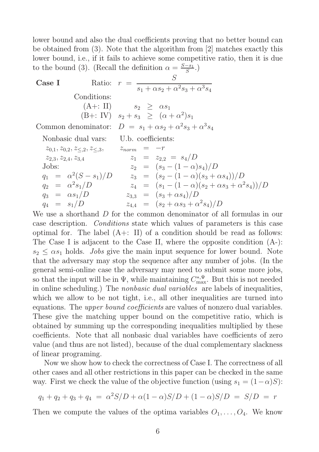lower bound and also the dual coefficients proving that no better bound can be obtained from (3). Note that the algorithm from [2] matches exactly this lower bound, i.e., if it fails to achieve some competitive ratio, then it is due to the bound (3). (Recall the definition  $\alpha = \frac{S-s_1}{S}$  $\frac{-s_1}{S}$ .)

| $\text{Case I}$<br>Ratio:                                        | $r =$<br>$s_1 + \alpha s_2 + \alpha^2 s_3 + \alpha^3 s_4$                |
|------------------------------------------------------------------|--------------------------------------------------------------------------|
| Conditions:                                                      |                                                                          |
|                                                                  | $(A +: II)$ $s_2 \geq \alpha s_1$                                        |
|                                                                  | $(B+ : IV)$ $s_2 + s_3 \geq (\alpha + \alpha^2)s_1$                      |
|                                                                  | Common denominator: $D = s_1 + \alpha s_2 + \alpha^2 s_3 + \alpha^3 s_4$ |
|                                                                  | Nonbasic dual vars: U.b. coefficients:                                   |
| $z_{0,1}, z_{0,2}, z_{\leq 2}, z_{\leq 3}, \qquad z_{norm} = -r$ |                                                                          |
| $z_{2,3}, z_{2,4}, z_{3,4}$                                      | $z_1 = z_{2,2} = s_4/D$                                                  |
| Jobs:                                                            | $z_2 = (s_3 - (1 - \alpha)s_4)/D$                                        |
| $q_1 = \alpha^2(S - s_1)/D$                                      | $z_3 = (s_2 - (1 - \alpha)(s_3 + \alpha s_4))/D$                         |
| $q_2 = \alpha^2 s_1/D$                                           | $z_4 = (s_1 - (1 - \alpha)(s_2 + \alpha s_3 + \alpha^2 s_4))/D$          |
| $q_3 = \alpha s_1/D$                                             | $z_{3,3} = (s_3 + \alpha s_4)/D$                                         |
| $q_4 = s_1/D$                                                    | $z_{4,4} = (s_2 + \alpha s_3 + \alpha^2 s_4)/D$                          |

We use a shorthand D for the common denominator of all formulas in our case description. Conditions state which values of parameters is this case optimal for. The label  $(A+:\Pi)$  of a condition should be read as follows: The Case I is adjacent to the Case II, where the opposite condition (A-):  $s_2 \leq \alpha s_1$  holds. Jobs give the main input sequence for lower bound. Note that the adversary may stop the sequence after any number of jobs. (In the general semi-online case the adversary may need to submit some more jobs, so that the input will be in  $\Psi$ , while maintaining  $C_{\text{max}}^{*,\Psi}$ . But this is not needed in online scheduling.) The nonbasic dual variables are labels of inequalities, which we allow to be not tight, i.e., all other inequalities are turned into equations. The *upper bound coefficients* are values of nonzero dual variables. These give the matching upper bound on the competitive ratio, which is obtained by summing up the corresponding inequalities multiplied by these coefficients. Note that all nonbasic dual variables have coefficients of zero value (and thus are not listed), because of the dual complementary slackness of linear programing.

Now we show how to check the correctness of Case I. The correctness of all other cases and all other restrictions in this paper can be checked in the same way. First we check the value of the objective function (using  $s_1 = (1 - \alpha)S$ ):

$$
q_1 + q_2 + q_3 + q_4 = \alpha^2 S/D + \alpha (1 - \alpha) S/D + (1 - \alpha) S/D = S/D = r
$$

Then we compute the values of the optima variables  $O_1, \ldots, O_4$ . We know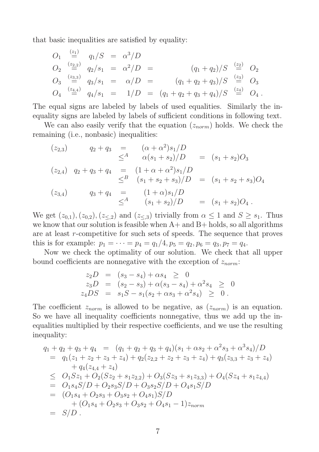that basic inequalities are satisfied by equality:

$$
O_1 \stackrel{(z_1)}{=} q_1/S = \alpha^3/D
$$
  
\n
$$
O_2 \stackrel{(z_{2,2})}{=} q_2/s_1 = \alpha^2/D = (q_1 + q_2)/S \stackrel{(z_2)}{=} O_2
$$
  
\n
$$
O_3 \stackrel{(z_{3,3})}{=} q_3/s_1 = \alpha/D = (q_1 + q_2 + q_3)/S \stackrel{(z_3)}{=} O_3
$$
  
\n
$$
O_4 \stackrel{(z_{4,4})}{=} q_4/s_1 = 1/D = (q_1 + q_2 + q_3 + q_4)/S \stackrel{(z_4)}{=} O_4.
$$

The equal signs are labeled by labels of used equalities. Similarly the inequality signs are labeled by labels of sufficient conditions in following text.

We can also easily verify that the equation  $(z_{norm})$  holds. We check the remaining (i.e., nonbasic) inequalities:

$$
(z_{2,3}) \t q_2 + q_3 = (\alpha + \alpha^2)s_1/D
$$
  
\n
$$
\leq^A \t \alpha(s_1 + s_2)/D = (s_1 + s_2)O_3
$$
  
\n
$$
(z_{2,4}) \t q_2 + q_3 + q_4 = (1 + \alpha + \alpha^2)s_1/D
$$
  
\n
$$
\leq^B \t (s_1 + s_2 + s_3)/D = (s_1 + s_2 + s_3)O_4
$$
  
\n
$$
(z_{3,4}) \t q_3 + q_4 = (1 + \alpha)s_1/D
$$
  
\n
$$
\leq^A \t (s_1 + s_2)/D = (s_1 + s_2)O_4.
$$

We get  $(z_{0,1})$ ,  $(z_{0,2})$ ,  $(z_{\leq,2})$  and  $(z_{\leq,3})$  trivially from  $\alpha \leq 1$  and  $S \geq s_1$ . Thus we know that our solution is feasible when  $A+$  and  $B+$  holds, so all algorithms are at least r-competitive for such sets of speeds. The sequence that proves this is for example:  $p_1 = \cdots = p_4 = q_1/4, p_5 = q_2, p_6 = q_3, p_7 = q_4$ .

Now we check the optimality of our solution. We check that all upper bound coefficients are nonnegative with the exception of  $z_{norm}$ :

$$
z_2D = (s_3 - s_4) + \alpha s_4 \ge 0
$$
  
\n
$$
z_3D = (s_2 - s_3) + \alpha (s_3 - s_4) + \alpha^2 s_4 \ge 0
$$
  
\n
$$
z_4DS = s_1S - s_1(s_2 + \alpha s_3 + \alpha^2 s_4) \ge 0.
$$

The coefficient  $z_{norm}$  is allowed to be negative, as  $(z_{norm})$  is an equation. So we have all inequality coefficients nonnegative, thus we add up the inequalities multiplied by their respective coefficients, and we use the resulting inequality:

$$
q_{1} + q_{2} + q_{3} + q_{4} = (q_{1} + q_{2} + q_{3} + q_{4})(s_{1} + \alpha s_{2} + \alpha^{2} s_{3} + \alpha^{3} s_{4})/D
$$
  
\n
$$
= q_{1}(z_{1} + z_{2} + z_{3} + z_{4}) + q_{2}(z_{2,2} + z_{2} + z_{3} + z_{4}) + q_{3}(z_{3,3} + z_{3} + z_{4})
$$
  
\n
$$
+ q_{4}(z_{4,4} + z_{4})
$$
  
\n
$$
\leq O_{1}Sz_{1} + O_{2}(Sz_{2} + s_{1}z_{2,2}) + O_{3}(Sz_{3} + s_{1}z_{3,3}) + O_{4}(Sz_{4} + s_{1}z_{4,4})
$$
  
\n
$$
= O_{1}s_{4}S/D + O_{2}s_{3}S/D + O_{3}s_{2}S/D + O_{4}s_{1}S/D
$$
  
\n
$$
= (O_{1}s_{4} + O_{2}s_{3} + O_{3}s_{2} + O_{4}s_{1})S/D
$$
  
\n
$$
+ (O_{1}s_{4} + O_{2}s_{3} + O_{3}s_{2} + O_{4}s_{1} - 1)z_{norm}
$$
  
\n
$$
= S/D.
$$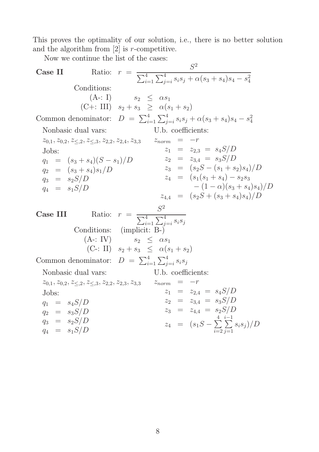This proves the optimality of our solution, i.e., there is no better solution and the algorithm from  $[2]$  is *r*-competitive.

Now we continue the list of the cases:

| Case II                        | Ratio: $r = \frac{z}{\sum_{i=1}^{4} \sum_{j=i}^{4} s_i s_j + \alpha(s_3 + s_4)s_4 - s_4^2}$      |
|--------------------------------|--------------------------------------------------------------------------------------------------|
| Conditions:                    |                                                                                                  |
|                                | $(A-1)$ $s_2 \leq \alpha s_1$                                                                    |
|                                | $(C +: III)$ $s_2 + s_3 \geq \alpha(s_1 + s_2)$                                                  |
|                                | Common denominator: $D = \sum_{i=1}^{4} \sum_{j=i}^{4} s_i s_j + \alpha (s_3 + s_4) s_4 - s_4^2$ |
| Nonbasic dual vars:            | U.b. coefficients:                                                                               |
|                                | $z_{0,1}, z_{0,2}, z_{\leq,2}, z_{\leq,3}, z_{2,2}, z_{2,4}, z_{3,3}$ $z_{norm} = -r$            |
| Jobs:                          | $z_1 = z_{2,3} = s_4 S/D$                                                                        |
| $q_1 = (s_3 + s_4)(S - s_1)/D$ | $z_2 = z_{3,4} = s_3 S/D$                                                                        |
| $q_2 = (s_3 + s_4)s_1/D$       | $z_3 = (s_2S - (s_1 + s_2)s_4)/D$                                                                |
| $q_3 = s_2S/D$                 | $z_4 = (s_1(s_1 + s_4) - s_2s_3)$                                                                |
| $q_4 = s_1 S/D$                | $-(1-\alpha)(s_3+s_4)s_4)/D$                                                                     |
|                                | $z_{4.4} = (s_2S + (s_3 + s_4)s_4)/D$                                                            |
| Case III                       | Ratio: $r = \frac{S^2}{\sum_{i=1}^4 \sum_{i=i}^4 s_i s_i}$                                       |
|                                | Conditions: (implicit: B-)                                                                       |
|                                | $(A-: IV)$ $s_2 \leq \alpha s_1$                                                                 |
|                                | $(C: II)$ $s_2 + s_3 \leq \alpha(s_1 + s_2)$                                                     |
|                                | Common denominator: $D = \sum_{i=1}^{4} \sum_{j=i}^{4} s_i s_j$                                  |
| Nonbasic dual vars:            | U.b. coefficients:                                                                               |
|                                | $z_{0,1}, z_{0,2}, z_{\leq,2}, z_{\leq,3}, z_{2,2}, z_{2,3}, z_{3,3}$ $z_{norm} = -r$            |
| Jobs:                          | $z_1 = z_{2,4} = s_4 S/D$                                                                        |
| $q_1 = s_4 S/D$                | $z_2 = z_{3,4} = s_3 S/D$                                                                        |
| $q_2 = s_3 S/D$                | $z_3 = z_{4,4} = s_2S/D$                                                                         |
| $q_3 = s_2S/D$                 | $z_4 = (s_1S - \sum_{i=2}^4 \sum_{i=1}^{i-1} s_i s_j)/D$                                         |
| $q_4 = s_1 S/D$                |                                                                                                  |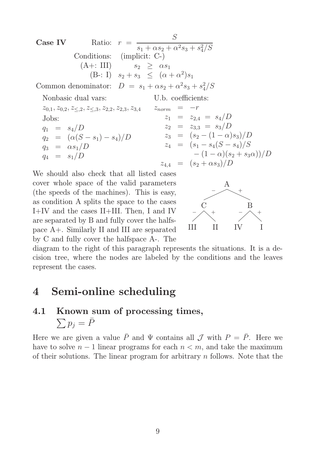**Case IV** Ratio:  $r =$  $\mathcal{S}_{0}$  $s_1 + \alpha s_2 + \alpha^2 s_3 + s_4^2 / S$ Conditions: (implicit: C-)  $(A+: III)$   $s_2 \geq \alpha s_1$ (B-: I)  $s_2 + s_3 \leq (\alpha + \alpha^2)s_1$ Common denominator:  $D = s_1 + \alpha s_2 + \alpha^2 s_3 + s_4^2$  $\frac{2}{4}/S$ Nonbasic dual vars:  $z_{0,1}, z_{0,2}, z_{\le,2}, z_{\le,3}, z_{2,2}, z_{2,3}, z_{3,4}$ Jobs:  $q_1 = s_4/D$  $q_1 = s_4/2$ <br> $q_2 = (\alpha(S - s_1) - s_4)/D$  $q_3 = \alpha s_1/D$  $q_4 = s_1/D$ U.b. coefficients:  $z_{norm}$  =  $-r$  $z_1 = z_{2,4} = s_4/D$  $z_2 = z_{3,3} = s_3/D$  $z_3 = (s_2 - (1 - \alpha)s_3)/D$  $z_4 = (s_1 - s_4(S - s_4)/S)$  $- (1 - \alpha)(s_2 + s_3 \alpha)/D$  $z_{4.4} = (s_2 + \alpha s_3)/D$ We should also check that all listed cases

cover whole space of the valid parameters (the speeds of the machines). This is easy, as condition A splits the space to the cases I+IV and the cases II+III. Then, I and IV are separated by B and fully cover the halfspace A+. Similarly II and III are separated by C and fully cover the halfspace A-. The



diagram to the right of this paragraph represents the situations. It is a decision tree, where the nodes are labeled by the conditions and the leaves represent the cases.

## 4 Semi-online scheduling

## 4.1 Known sum of processing times,  $\sum p_i = \bar{P}$

Here we are given a value  $\bar{P}$  and  $\Psi$  contains all  $\mathcal J$  with  $P = \bar{P}$ . Here we have to solve  $n-1$  linear programs for each  $n < m$ , and take the maximum of their solutions. The linear program for arbitrary n follows. Note that the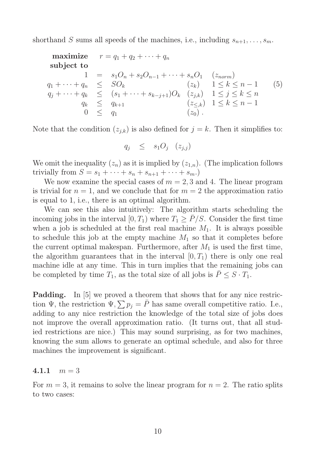shorthand S sums all speeds of the machines, i.e., including  $s_{n+1}, \ldots, s_m$ .

maximize 
$$
r = q_1 + q_2 + \cdots + q_n
$$
  
\nsubject to  
\n
$$
1 = s_1 O_n + s_2 O_{n-1} + \cdots + s_n O_1 \quad (z_{norm})
$$
\n
$$
q_1 + \cdots + q_n \leq SO_k \quad (z_k) \quad 1 \leq k \leq n-1 \quad (5)
$$
\n
$$
q_j + \cdots + q_k \leq (s_1 + \cdots + s_{k-j+1}) O_k \quad (z_{j,k}) \quad 1 \leq j \leq k \leq n
$$
\n
$$
q_k \leq q_{k+1} \quad (z_{\leq,k}) \quad 1 \leq k \leq n-1
$$
\n
$$
0 \leq q_1 \quad (z_0).
$$

Note that the condition  $(z_{j,k})$  is also defined for  $j = k$ . Then it simplifies to:

$$
q_j \leq s_1 O_j \quad (z_{j,j})
$$

We omit the inequality  $(z_n)$  as it is implied by  $(z_{1,n})$ . (The implication follows trivially from  $S = s_1 + \cdots + s_n + s_{n+1} + \cdots + s_m$ .

We now examine the special cases of  $m = 2, 3$  and 4. The linear program is trivial for  $n = 1$ , and we conclude that for  $m = 2$  the approximation ratio is equal to 1, i.e., there is an optimal algorithm.

We can see this also intuitively: The algorithm starts scheduling the incoming jobs in the interval  $[0, T_1)$  where  $T_1 \ge P/S$ . Consider the first time when a job is scheduled at the first real machine  $M_1$ . It is always possible to schedule this job at the empty machine  $M_1$  so that it completes before the current optimal makespan. Furthermore, after  $M_1$  is used the first time, the algorithm guarantees that in the interval  $[0, T_1)$  there is only one real machine idle at any time. This in turn implies that the remaining jobs can be completed by time  $T_1$ , as the total size of all jobs is  $\overline{P} \leq S \cdot T_1$ .

**Padding.** In [5] we proved a theorem that shows that for any nice restriction  $\Psi$ , the restriction  $\Psi$ ,  $\sum p_j = \bar{P}$  has same overall competitive ratio. I.e., adding to any nice restriction the knowledge of the total size of jobs does not improve the overall approximation ratio. (It turns out, that all studied restrictions are nice.) This may sound surprising, as for two machines, knowing the sum allows to generate an optimal schedule, and also for three machines the improvement is significant.

#### 4.1.1  $m = 3$

For  $m = 3$ , it remains to solve the linear program for  $n = 2$ . The ratio splits to two cases: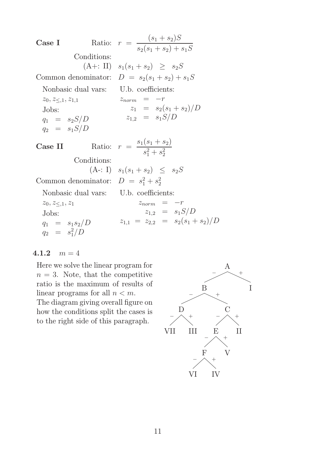**Case I** Ratio:  $r =$  $(s_1 + s_2)S$  $s_2(s_1 + s_2) + s_1S$ Conditions:  $(A+: II)$   $s_1(s_1 + s_2) \geq s_2S$ Common denominator:  $D = s_2(s_1 + s_2) + s_1S$ Nonbasic dual vars:  $z_0, z_{\leq,1}, z_{1,1}$ Jobs:  $q_1 = s_2S/D$  $q_2 = s_1 S/D$ U.b. coefficients:  $z_{norm} = -r$  $z_1 = s_2(s_1 + s_2)/D$  $z_{1,2} = s_1 S/D$ **Case II** Ratio:  $r =$  $s_1(s_1 + s_2)$  $s_1^2 + s_2^2$ 2 Conditions:  $(A-: I)$   $s_1(s_1 + s_2) \leq s_2S$ Common denominator:  $D = s_1^2 + s_2^2$ 2 Nonbasic dual vars:  $z_0, z_{\leq,1}, z_1$ Jobs:  $q_1 = s_1 s_2/D$  $q_2 = s_1^2$  $\frac{2}{1}$ D U.b. coefficients:  $z_{norm} = -r$  $z_{1,2} = s_1 S/D$  $z_{1,1} = z_{2,2} = s_2(s_1 + s_2)/D$ 

#### 4.1.2  $m = 4$

Here we solve the linear program for  $n = 3$ . Note, that the competitive ratio is the maximum of results of linear programs for all  $n < m$ .

The diagram giving overall figure on how the conditions split the cases is to the right side of this paragraph.

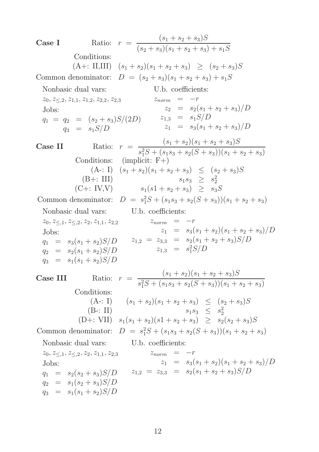**Case I** Ratio:  $r =$  $(s_1 + s_2 + s_3)S$  $(s_2 + s_3)(s_1 + s_2 + s_3) + s_1S$ Conditions:  $(A+: II, III)$   $(s_1 + s_2)(s_1 + s_2 + s_3) \ge (s_2 + s_3)S$ Common denominator:  $D = (s_2 + s_3)(s_1 + s_2 + s_3) + s_1S$ Nonbasic dual vars:  $z_0, z_{\leq,2}, z_{1,1}, z_{1,2}, z_{2,2}, z_{2,3}$ Jobs:  $q_1 = q_2 = (s_2 + s_3)S/(2D)$   $z_{1,3} = s_1S/D$  $q_3 = s_1S/D$ U.b. coefficients:  $z_{norm}$  =  $z_2 = s_2(s_1 + s_2 + s_3)/D$  $z_1 = s_3(s_1 + s_2 + s_3)/D$ **Case II** Ratio:  $r =$  $(s_1 + s_2)(s_1 + s_2 + s_3)S$  $s_1^2S + (s_1s_3 + s_2(S + s_3))(s_1 + s_2 + s_3)$ Conditions: (implicit: F+)  $(A-: I)$   $(s_1 + s_2)(s_1 + s_2 + s_3) \le (s_2 + s_3)S$ (B+: III)  $s_1 s_3 \geq s_2^2$ 2  $(C+: IV, V)$   $s_1(s1 + s_2 + s_3) \geq s_3S$ Common denominator:  $D = s_1^2S + (s_1s_3 + s_2(S + s_3))(s_1 + s_2 + s_3)$ Nonbasic dual vars:  $z_0, z_{\leq 1}, z_{\leq 2}, z_2, z_{1,1}, z_{2,2}$ Jobs:  $q_1 = s_3(s_1+s_2)S/D$   $z_{1,2} = z_{3,3} = s_2(s_1+s_2+s_3)S/D$  $q_2 = s_2(s_1 + s_2)S/D$  $q_3 = s_1(s_1 + s_2)S/D$ U.b. coefficients:  $z_{norm}$  =  $-r$  $z_1 = s_3(s_1 + s_2)(s_1 + s_2 + s_3)/D$  $z_{1,3} = s_1^2 S/D$ Case III Ratio:  $r =$  $(s_1 + s_2)(s_1 + s_2 + s_3)S$  $s_1^2S + (s_1s_3 + s_2(S + s_3))(s_1 + s_2 + s_3)$ Conditions:  $(A-: I)$   $(s_1 + s_2)(s_1 + s_2 + s_3) \le (s_2 + s_3)S$ (B-: II)  $s_1s_3 \leq s_2^2$ 2  $(D+: VII)$   $s_1(s_1 + s_2)(s_1 + s_2 + s_3) \geq s_2(s_2 + s_3)S$ Common denominator:  $D = s_1^2S + (s_1s_3 + s_2(S + s_3))(s_1 + s_2 + s_3)$ Nonbasic dual vars:  $z_0, z_{\leq,1}, z_{\leq,2}, z_2, z_{1,1}, z_{2,3}$ Jobs:  $q_1 = s_2(s_2 + s_3)S/D$  $q_2 = s_1(s_2 + s_3)S/D$  $q_3 = s_1(s_1 + s_2)S/D$ U.b. coefficients:  $z_{norm}$  =  $-r$  $z_1 = s_3(s_1 + s_2)(s_1 + s_2 + s_3)/D$  $z_{1,2} = z_{3,3} = s_2(s_1 + s_2 + s_3)S/D$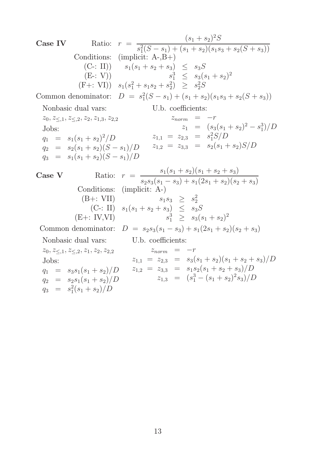**Case IV** Ratio:  $r =$  $(s_1 + s_2)^2 S$  $s_1^2$  $\frac{2}{1}(S-s_1)+(s_1+s_2)(s_1s_3+s_2(S+s_3))$ Conditions: (implicit: A-,B+)  $(C: II)$   $s_1(s_1 + s_2 + s_3) \leq s_3 S$ (E-: V))  $s_1^3 \leq s_3(s_1 + s_2)^2$  $(F +: VI)$ )  $s_1(s_1^2 + s_1s_2 + s_2^2)$  $\binom{2}{2} \geq s_2^2 S$ Common denominator:  $D = s_1^2$  $s_1^2(S-s_1) + (s_1+s_2)(s_1s_3 + s_2(S+s_3))$ Nonbasic dual vars:  $z_0, z_{\leq,1}, z_{\leq,2}, z_2, z_{1,3}, z_{2,2}$ Jobs:  $q_1 = s_1(s_1 + s_2)^2/D$  $q_2 = s_2(s_1 + s_2)(S - s_1)/D$   $z_{1,2} = z_{3,3} = s_2(s_1 + s_2)S/D$  $q_3 = s_1(s_1 + s_2)(S - s_1)/D$ U.b. coefficients:  $z_{norm}$  =  $z_1 = (s_3(s_1 + s_2)^2 - s_1^3)$  $_{1}^{3})/D$  $z_{1,1} = z_{2,3} = s_1^2 S/D$ **Case V** Ratio:  $r =$  $s_1(s_1 + s_2)(s_1 + s_2 + s_3)$  $s_2s_3(s_1-s_3)+s_1(2s_1+s_2)(s_2+s_3)$ Conditions: (implicit: A-) (B+: VII)  $s_1 s_3 \geq s_2^2$ 2  $(C: II)$   $s_1(s_1 + s_2 + s_3) \leq s_3S$ (E+: IV,VI)  $s_1^3 \geq s_3(s_1 + s_2)^2$ Common denominator:  $D = s_2s_3(s_1 - s_3) + s_1(2s_1 + s_2)(s_2 + s_3)$ Nonbasic dual vars:  $z_0, z_{\leq 1}, z_{\leq 2}, z_1, z_2, z_{2,2}$ Jobs:  $q_1 = s_3s_1(s_1 + s_2)/D$  $q_2 = s_2s_1(s_1 + s_2)/D$  $q_3 = s_1^2$  $\frac{2}{1}(s_1 + s_2)/D$ U.b. coefficients:  $z_{norm} = -r$  $z_{1,1} = z_{2,3} = s_3(s_1 + s_2)(s_1 + s_2 + s_3)/D$  $z_{1,2} = z_{3,3} = s_1s_2(s_1 + s_2 + s_3)/D$  $z_{1,3} = (s_1^3 - (s_1 + s_2)^2 s_3)/D$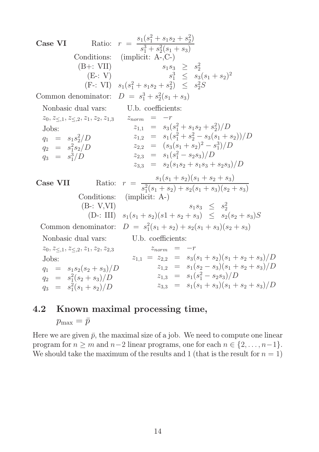Case VI Ratio:  $r =$  $s_1(s_1^2+s_1s_2+s_2^2)$  $\binom{2}{2}$  $s_1^3 + s_2^2$  $^{2}_{2}(s_{1}+s_{3})$ Conditions: (implicit: A-,C-) (B+: VII)  $s_1s_3 \geq s_2^2$ 2 (E-: V)  $s_1^3 \leq s_3(s_1 + s_2)^2$  $(F -: VI)$   $s_1(s_1^2 + s_1s_2 + s_2^2)$  $2) \leq s_2^2 S$ Common denominator:  $D = s_1^3 + s_2^2$  $_{2}^{2}(s_{1}+s_{3})$ Nonbasic dual vars:  $z_0, z_{\leq 1}, z_{\leq 2}, z_1, z_2, z_{1,3}$ Jobs:  $q_1 = s_1 s_2^2$  $\frac{2}{2}/D$  $q_2 = s_1^2$  $_{1}^{2}s_{2}/D$  $q_3 = s_1^3$  $\frac{3}{1}$  $/D$ U.b. coefficients:  $z_{norm} = -r$  $z_{1,1} = s_3(s_1^2 + s_1s_2 + s_2^2)$  $\binom{2}{2}/D$  $z_{1,2} = s_1(s_1^2 + s_2^2 - s_3(s_1 + s_2))/D$  $z_{2,2} = (s_3(s_1+s_2)^2-s_1^3)$  $_{1}^{3})/D$  $z_{2,3} = s_1(s_1^2 - s_2 s_3)/D$  $z_3 = s_2(s_1s_2 + s_1s_3 + s_2s_3)/D$ Case VII Ratio:  $s_1(s_1 + s_2)(s_1 + s_2 + s_3)$  $s_1^2$  $_1^2(s_1 + s_2) + s_2(s_1 + s_3)(s_2 + s_3)$ Conditions: (implicit: A-) (B-: V,VI)  $s_1 s_3 \leq s_2^2$ 2  $(D: III)$   $s_1(s_1 + s_2)(s_1 + s_2 + s_3) \leq s_2(s_2 + s_3)S$ Common denominator: 2  $s_1^2(s_1+s_2)+s_2(s_1+s_3)(s_2+s_3)$ Nonbasic dual vars:  $z_0, z_{\leq,1}, z_{\leq,2}, z_1, z_2, z_{2,3}$ Jobs:  $q_1 = s_1s_2(s_2 + s_3)/D$  $q_2 = s_1^2$  $\frac{2}{1}(s_2 + s_3)/D$  $q_3 = s_1^2$  $\frac{2}{1}(s_1 + s_2)/D$ U.b. coefficients:  $z_{norm}$  =  $-r$  $z_{1,1} = z_{2,2} = s_3(s_1 + s_2)(s_1 + s_2 + s_3)/D$  $z_{1,2}$  =  $s_1(s_2-s_3)(s_1+s_2+s_3)/D$  $z_{1,3} = s_1(s_1^2 - s_2 s_3)/D$  $z_{3,3} = s_1(s_1 + s_3)(s_1 + s_2 + s_3)/D$ 

### 4.2 Known maximal processing time,  $p_{\text{max}} = \bar{p}$

Here we are given  $\bar{p}$ , the maximal size of a job. We need to compute one linear program for  $n \geq m$  and  $n-2$  linear programs, one for each  $n \in \{2, \ldots, n-1\}$ . We should take the maximum of the results and 1 (that is the result for  $n = 1$ )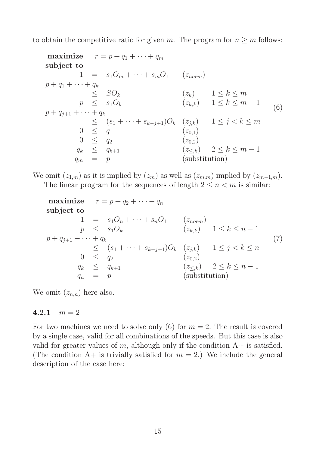to obtain the competitive ratio for given m. The program for  $n \geq m$  follows:

maximize 
$$
r = p + q_1 + \dots + q_m
$$
  
\nsubject to  
\n
$$
1 = s_1 O_m + \dots + s_m O_1 \quad (z_{norm})
$$
\n
$$
p + q_1 + \dots + q_k \leq SO_k \quad (z_k) \quad 1 \leq k \leq m
$$
\n
$$
p \leq s_1 O_k \quad (z_k) \quad 1 \leq k \leq m - 1
$$
\n
$$
p + q_{j+1} + \dots + q_k \leq (s_1 + \dots + s_{k-j+1}) O_k \quad (z_{j,k}) \quad 1 \leq j < k \leq m
$$
\n
$$
0 \leq q_1 \quad (z_{0,1})
$$
\n
$$
0 \leq q_2 \quad (z_{0,2})
$$
\n
$$
q_k \leq q_{k+1} \quad (z_{\leq,k}) \quad 2 \leq k \leq m - 1
$$
\n(substitution)

We omit  $(z_{1,m})$  as it is implied by  $(z_m)$  as well as  $(z_{m,m})$  implied by  $(z_{m-1,m})$ . The linear program for the sequences of length  $2 \leq n < m$  is similar:

maximize 
$$
r = p + q_2 + \dots + q_n
$$
  
\nsubject to  
\n
$$
1 = s_1 O_n + \dots + s_n O_1 \qquad (z_{norm})
$$
\n
$$
p \leq s_1 O_k \qquad (z_{k,k}) \qquad 1 \leq k \leq n-1
$$
\n
$$
p + q_{j+1} + \dots + q_k \leq (s_1 + \dots + s_{k-j+1}) O_k \quad (z_{j,k}) \qquad 1 \leq j < k \leq n
$$
\n
$$
0 \leq q_2 \qquad (z_{0,2})
$$
\n
$$
q_k \leq q_{k+1} \qquad (z_{\leq,k}) \qquad 2 \leq k \leq n-1
$$
\n
$$
q_n = p \qquad (substitution)
$$

We omit  $(z_{n,n})$  here also.

#### 4.2.1  $m = 2$

For two machines we need to solve only (6) for  $m = 2$ . The result is covered by a single case, valid for all combinations of the speeds. But this case is also valid for greater values of m, although only if the condition  $A+$  is satisfied. (The condition A+ is trivially satisfied for  $m = 2$ .) We include the general description of the case here: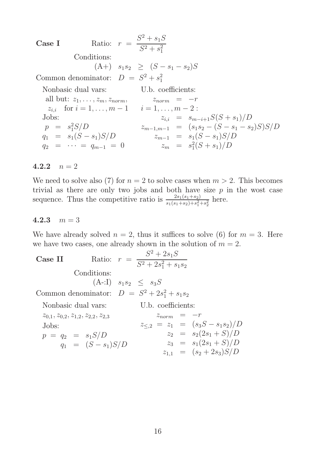**Case I** Ratio:  $r =$  $S^2 + s_1S$  $S^2 + s_1^2$ 1 Conditions:  $(A+)$   $s_1s_2 \geq (S - s_1 - s_2)S$ Common denominator:  $D = S^2 + s_1^2$ 1 Nonbasic dual vars: all but:  $z_1, \ldots, z_m, z_{norm}$ ,  $z_{i,i}$  for  $i = 1, ..., m - 1$ Jobs:  $p = s_1^2 S/D$  $q_1 = s_1(S - s_1)S/D$  $q_2 = \cdots = q_{m-1} = 0$ U.b. coefficients:  $z_{norm}$  =  $-r$  $z_{norm} = -r$ <br> $i = 1, ..., m-2$ :  $z_{i,i} = s_{m-i+1}S(S + s_1)/D$  $z_{m-1,m-1} = (s_1s_2 - (S - s_1 - s_2)S)S/D$  $z_{m-1}$  =  $s_1(S-s_1)S/D$  $z_m$  =  $s_1^2$  $^{2}_{1}(S + s_{1})/D$ 

#### 4.2.2  $n = 2$

We need to solve also (7) for  $n = 2$  to solve cases when  $m > 2$ . This becomes trivial as there are only two jobs and both have size  $p$  in the wost case sequence. Thus the competitive ratio is  $\frac{2s_1(s_1+s_2)}{s_1(s_1+s_2)+s_1^2+s_2^2}$  here.

#### 4.2.3  $m = 3$

We have already solved  $n = 2$ , thus it suffices to solve (6) for  $m = 3$ . Here we have two cases, one already shown in the solution of  $m = 2$ .

| Case II                                         |                      | $S^2 + 2s_1S$<br>Ratio: $r = \frac{1}{S^2 + 2s_1^2 + s_1s_2}$ |                                        |
|-------------------------------------------------|----------------------|---------------------------------------------------------------|----------------------------------------|
|                                                 | Conditions:          |                                                               |                                        |
|                                                 |                      | $(A-1)$ $s_1s_2 \leq s_3S$                                    |                                        |
| Common denominator: $D = S^2 + 2s_1^2 + s_1s_2$ |                      |                                                               |                                        |
| Nonbasic dual vars:                             |                      | U.b. coefficients:                                            |                                        |
| $z_{0,1}, z_{0,2}, z_{1,2}, z_{2,2}, z_{2,3}$   |                      | $z_{norm} = -r$                                               |                                        |
| Jobs:                                           |                      |                                                               | $z_{\leq 2} = z_1 = (s_3S - s_1s_2)/D$ |
| $p = q_2 = s_1 S/D$                             |                      |                                                               | $z_2 = s_2(2s_1 + S)/D$                |
|                                                 | $q_1 = (S - s_1)S/D$ |                                                               | $z_3 = s_1(2s_1 + S)/D$                |
|                                                 |                      |                                                               | $z_{1,1} = (s_2 + 2s_3)S/D$            |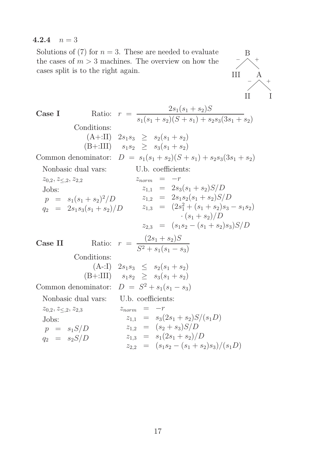### 4.2.4  $n = 3$

Solutions of (7) for  $n = 3$ . These are needed to evaluate the cases of  $m > 3$  machines. The overview on how the cases split is to the right again.



| Case I                                 |                                                          | $2s_1(s_1 + s_2)S$<br>Ratio: $r = \frac{2s_1(s_1 + s_2)}{s_1(s_1 + s_2)(S + s_1) + s_2s_3(3s_1 + s_2)}$                 |
|----------------------------------------|----------------------------------------------------------|-------------------------------------------------------------------------------------------------------------------------|
|                                        | Conditions:                                              |                                                                                                                         |
|                                        |                                                          | $(A+:II)$ $2s_1s_3 \geq s_2(s_1+s_2)$<br>$(B+:III)$ $s_1s_2 \geq s_3(s_1+s_2)$                                          |
|                                        |                                                          | Common denominator: $D = s_1(s_1 + s_2)(S + s_1) + s_2s_3(3s_1 + s_2)$                                                  |
|                                        | Nonbasic dual vars:                                      | U.b. coefficients:                                                                                                      |
| $z_{0,2}, z_{\le,2}, z_{2,2}$<br>Jobs: |                                                          | $z_{norm}$ = $-r$<br>$z_{1,1} = 2s_3(s_1+s_2)S/D$<br>$z_{1,2}$ = $2s_1s_2(s_1+s_2)S/D$                                  |
|                                        | $p = s_1(s_1 + s_2)^2/D$<br>$q_2 = 2s_1s_3(s_1 + s_2)/D$ | $z_{1,3} = (2s_1^2 + (s_1 + s_2)s_3 - s_1s_2)$<br>$\cdot (s_1 + s_2)/D$<br>$z_{2,3} = (s_1s_2 - (s_1 + s_2)s_3)S/D$     |
| Case II                                | Conditions:                                              | Ratio: $r = \frac{(2s_1 + s_2)S}{S^2 + s_1(s_1 - s_3)}$                                                                 |
|                                        |                                                          | $(A-1)$ $2s_1s_3 \leq s_2(s_1+s_2)$<br>$(B+:III)$ $s_1s_2 \geq s_3(s_1+s_2)$                                            |
|                                        |                                                          | Common denominator: $D = S^2 + s_1(s_1 - s_3)$                                                                          |
|                                        |                                                          | Nonbasic dual vars: U.b. coefficients:                                                                                  |
| $z_{0,2}, z_{\le,2}, z_{2,3}$<br>Jobs: | $p = s_1 S/D$<br>$q_2 = s_2 S/D$                         | $z_{norm}$ = $-r$<br>$z_{1,1} = s_3(2s_1 + s_2)S/(s_1D)$<br>$z_{1,2} = (s_2 + s_3)S/D$<br>$z_{1,3} = s_1(2s_1 + s_2)/D$ |
|                                        |                                                          | $z_{2,2} = (s_1s_2 - (s_1 + s_2)s_3)/(s_1D)$                                                                            |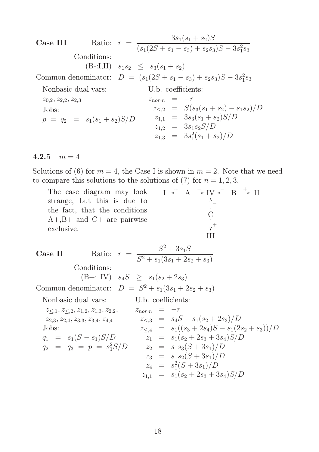Case III Ratio:  $r =$  $3s_1(s_1 + s_2)S$  $(s_1(2S + s_1 - s_3) + s_2s_3)S - 3s_1^2$  $_1^2s_3$ Conditions:  $(B - :I, II)$   $s_1 s_2 \leq s_3 (s_1 + s_2)$ Common denominator:  $D = (s_1(2S + s_1 - s_3) + s_2s_3)S - 3s_1^2$  $_1^2s_3$ Nonbasic dual vars:  $z_{0,2}, z_{2,2}, z_{2,3}$ Jobs:  $p = q_2 = s_1(s_1 + s_2)S/D$ U.b. coefficients:  $z_{norm} = -r$  $z_{\leq,2}$  =  $S(s_3(s_1 + s_2) - s_1 s_2)/D$  $z_{1,1}$  =  $3s_3(s_1+s_2)S/D$  $z_{1,2}$  = 3s<sub>1</sub>s<sub>2</sub>S/D  $z_{1,3} = 3s_1^2$  $\frac{2}{1}(s_1 + s_2)/D$ 

#### 4.2.5  $m = 4$

Solutions of (6) for  $m = 4$ , the Case I is shown in  $m = 2$ . Note that we need to compare this solutions to the solutions of (7) for  $n = 1, 2, 3$ .

The case diagram may look  $I \stackrel{+}{\leftarrow} A \stackrel{-}{\rightarrow} IV \stackrel{-}{\leftarrow} B \stackrel{+}{\rightarrow} II$ strange, but this is due to the fact, that the conditions  $A+$ ,  $B+$  and  $C+$  are pairwise exclusive.  $\overline{C}$  $\begin{bmatrix} 1 \\ + \end{bmatrix}$ ↑− III **Case II** Ratio:  $r =$  $S^2 + 3s_1S$  $S^2 + s_1(3s_1 + 2s_2 + s_3)$ Conditions:  $(B+: IV)$   $s_4S \geq s_1(s_2 + 2s_3)$ Common denominator:  $D = S^2 + s_1(3s_1 + 2s_2 + s_3)$ Nonbasic dual vars:  $z_{\leq 1}, z_{\leq 2}, z_{1,2}, z_{1,3}, z_{2,2},$  $z_{2,3}, z_{2,4}, z_{3,3}, z_{3,4}, z_{4,4}$ Jobs:  $q_1 = s_1(S - s_1)S/D$  $q_2 = q_3 = p = s_1^2 S/D$ U.b. coefficients:  $z_{norm} = -r$  $z_{\leq 3}$  =  $s_4S - s_1(s_2 + 2s_3)/D$  $z_{\leq,4} = s_1((s_3 + 2s_4)S - s_1(2s_2 + s_3))/D$  $z_1 = s_1(s_2 + 2s_3 + 3s_4)S/D$  $z_2 = s_1s_3(S + 3s_1)/D$  $z_3 = s_1s_2(S+3s_1)/D$  $z_4 = s_1^2$  $^{2}_{1}(S+3s_{1})/D$  $z_{1,1} = s_1(s_2 + 2s_3 + 3s_4)S/D$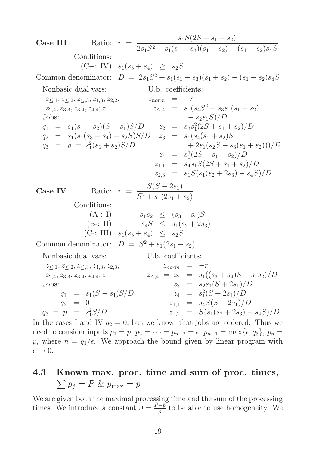Case III Ratio:  $r =$  $s_1S(2S + s_1 + s_2)$  $2s_1S^2 + s_1(s_1 - s_3)(s_1 + s_2) - (s_1 - s_2)s_4S$ Conditions:  $(C+: IV)$   $s_1(s_3 + s_4) > s_2S$ Common denominator:  $D = 2s_1S^2 + s_1(s_1 - s_3)(s_1 + s_2) - (s_1 - s_2)s_4S$ Nonbasic dual vars:  $z_{\leq,1}, z_{\leq,2}, z_{\leq,3}, z_{1,3}, z_{2,2},$  $z_{2,4}, z_{3,3}, z_{3,4}, z_{4,4}; z_1$ Jobs:  $q_1 = s_1(s_1 + s_2)(S - s_1)S/D$  $q_2 = s_1(s_1(s_3 + s_4) - s_2S)S/D \quad z_3 = s_1(s_4(s_1 + s_2)S)$  $q_3 = p = s_1^2$  $_{1}^{2}(s_{1}+s_{2})S/D$ U.b. coefficients:  $z_{norm}$  =  $-r$  $z_{\leq 4}$  =  $s_1(s_4S^2 + s_3s_1(s_1 + s_2))$  $- s_2 s_1 S$ )/D  $z_2 = s_3 s_1^2$  $\binom{2}{1}(2S + s_1 + s_2)/D$  $+ 2s_1(s_2S - s_3(s_1 + s_2)))/D$  $z_4 = s_1^3$  $\frac{3}{1}(2S + s_1 + s_2)/D$  $z_{1,1} = s_4s_1S(2S + s_1 + s_2)/D$  $z_{23} = s_1S(s_1(s_2 + 2s_3) - s_4S)/D$ **Case IV** Ratio:  $r =$  $S(S + 2s_1)$  $S^2 + s_1(2s_1 + s_2)$ Conditions: (A-: I)  $s_1s_2 \le (s_3 + s_4)S$ <br>
(B-: II)  $s_4S < s_1(s_2 + 2s_1)$  $\overline{s_4S} \leq s_1(s_2 + 2s_3)$  $(C: III)$   $s_1(s_3 + s_4)$   $\leq$   $s_2 S$ Common denominator:  $D = S^2 + s_1(2s_1 + s_2)$ Nonbasic dual vars:  $z_{\leq 1}, z_{\leq 2}, z_{\leq 3}, z_{1,3}, z_{2,3},$  $z_{2,4}, z_{3,3}, z_{3,4}, z_{4,4}; z_1$ Jobs:  $q_1 = s_1(S - s_1)S/D$  $q_2 = 0$  $q_3 = p = s_1^2 S/D$ U.b. coefficients:  $z_{norm}$  =  $-r$  $z_{\leq,4} = z_2 = s_1((s_3 + s_4)S - s_1s_2)/D$  $z_3 = s_2s_1(S+2s_1)/D$  $z_4 = s_1^2$  $^{2}_{1}(S+2s_{1})/D$  $z_{1,1} = s_4S(S + 2s_1)/D$  $z_{2,2} = S(s_1(s_2 + 2s_3) - s_4S)/D$ 

In the cases I and IV  $q_2 = 0$ , but we know, that jobs are ordered. Thus we need to consider inputs  $p_1 = p$ ,  $p_2 = \cdots = p_{n-2} = \epsilon$ ,  $p_{n-1} = \max{\epsilon, q_3}$ ,  $p_n =$ p, where  $n = q_1/\epsilon$ . We approach the bound given by linear program with  $\epsilon \rightarrow 0.$ 

### 4.3 Known max. proc. time and sum of proc. times,  $\sum p_i = \bar{P} \& p_{\text{max}} = \bar{p}$

We are given both the maximal processing time and the sum of the processing times. We introduce a constant  $\beta = \frac{\bar{P}-\bar{p}}{\bar{p}}$  $\frac{-p}{\bar{p}}$  to be able to use homogeneity. We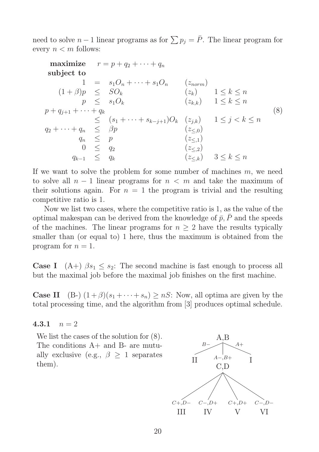need to solve  $n-1$  linear programs as for  $\sum p_j = \overline{P}$ . The linear program for every  $n < m$  follows:

maximize 
$$
r = p + q_2 + \dots + q_n
$$
  
\nsubject to  
\n
$$
1 = s_1O_n + \dots + s_1O_n \qquad (z_{norm})
$$
\n
$$
(1 + \beta)p \leq SO_k \qquad (z_k) \qquad 1 \leq k \leq n
$$
\n
$$
p + q_{j+1} + \dots + q_k \leq (s_1 + \dots + s_{k-j+1})O_k \quad (z_{j,k}) \qquad 1 \leq j < k \leq n
$$
\n
$$
q_2 + \dots + q_n \leq \beta p \qquad (z_{\leq,0})
$$
\n
$$
q_n \leq p \qquad (z_{\leq,1})
$$
\n
$$
0 \leq q_2 \qquad (z_{\leq,2})
$$
\n
$$
q_{k-1} \leq q_k \qquad (z_{\leq,k}) \qquad 3 \leq k \leq n
$$
\n(2)

If we want to solve the problem for some number of machines  $m$ , we need to solve all  $n-1$  linear programs for  $n < m$  and take the maximum of their solutions again. For  $n = 1$  the program is trivial and the resulting competitive ratio is 1.

Now we list two cases, where the competitive ratio is 1, as the value of the optimal makespan can be derived from the knowledge of  $\bar{p}$ ,  $P$  and the speeds of the machines. The linear programs for  $n \geq 2$  have the results typically smaller than (or equal to) 1 here, thus the maximum is obtained from the program for  $n = 1$ .

**Case I** (A+)  $\beta s_1 \leq s_2$ : The second machine is fast enough to process all but the maximal job before the maximal job finishes on the first machine.

**Case II** (B-)  $(1 + \beta)(s_1 + \cdots + s_n) \ge nS$ : Now, all optima are given by the total processing time, and the algorithm from [3] produces optimal schedule.

#### 4.3.1  $n = 2$

We list the cases of the solution for (8). The conditions A+ and B- are mutually exclusive (e.g.,  $\beta \geq 1$  separates them).

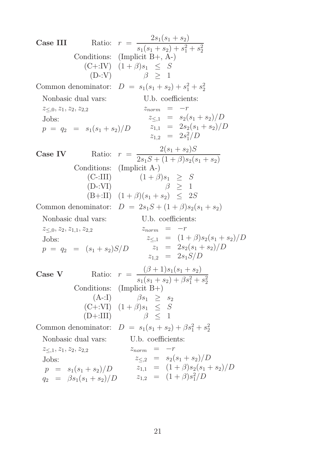Case III Ratio:  $r =$  $2s_1(s_1 + s_2)$  $s_1(s_1 + s_2) + s_1^2 + s_2^2$ 2 Conditions: (Implicit B+,  $A$  $(C+:\mathrm{IV})$   $(1+\beta)s_1 \leq S$  $(D-:V)$  β ≥ 1 Common denominator:  $D = s_1(s_1 + s_2) + s_1^2 + s_2^2$ 2 Nonbasic dual vars:  $z_{\leq,0}, z_1, z_2, z_{2,2}$ Jobs:  $p = q_2 = s_1(s_1 + s_2)/D$ U.b. coefficients:  $z_{norm}$  =  $-r$  $z_{\leq,1} = s_2(s_1 + s_2)/D$  $z_{1,1} = 2s_2(s_1 + s_2)/D$  $z_{1,2} = 2s_1^2$  $\frac{2}{1}$ D Case IV Ratio:  $r =$  $2(s_1 + s_2)S$  $2s_1S + (1+\beta)s_2(s_1+s_2)$ Conditions: (Implicit A-)  $(C$ -:III)  $(1 + \beta)s_1 \geq S$  $(D-:VI)$  β ≥ 1  $(B+:II)$   $(1 + \beta)(s_1 + s_2) \leq 2S$ Common denominator:  $D = 2s_1S + (1+\beta)s_2(s_1+s_2)$ Nonbasic dual vars:  $z_{\leq,0}, z_2, z_{1,1}, z_{2,2}$ Jobs:  $p = q_2 = (s_1 + s_2)S/D$ U.b. coefficients:  $z_{norm}$  =  $z_{\leq,1} = (1+\beta)s_2(s_1+s_2)/D$  $z_1 = 2s_2(s_1 + s_2)/D$  $z_1$ ,  $= 2s_1S/D$ Case V Ratio:  $r =$  $(\beta + 1)s_1(s_1 + s_2)$  $s_1(s_1 + s_2) + \beta s_1^2 + s_2^2$ 2 Conditions: (Implicit B+)  $(A-1)$   $\beta s_1 \geq s_2$  $(C+:VI)$   $(1+\beta)s_1 \leq S$  $(D+:III)$  β  $\leq$ Common denominator:  $D = s_1(s_1 + s_2) + \beta s_1^2 + s_2^2$ 2 Nonbasic dual vars:  $z_{\leq 1}, z_1, z_2, z_{2,2}$ Jobs:  $p = s_1(s_1 + s_2)/D$  $q_2 = \beta s_1 (s_1 + s_2)/D$ U.b. coefficients:  $z_{norm}$  =  $-r$  $z_{\leq 2} = s_2(s_1 + s_2)/D$  $z_{1,1} = (1+\beta)s_2(s_1+s_2)/D$  $z_{1,2} = (1+\beta)s_1^2/D$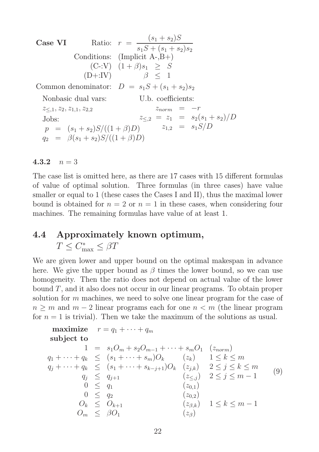Case VI Ratio:  $r =$  $(s_1 + s_2)S$  $s_1S + (s_1 + s_2)s_2$ Conditions: (Implicit A-,B+)  $(C-Y)$   $(1+\beta)s_1 \geq S$  $(D+:IV)$  β ≤ 1 Common denominator:  $D = s_1S + (s_1 + s_2)s_2$ Nonbasic dual vars:  $z_{\leq,1}, z_2, z_{1,1}, z_{2,2}$ Jobs:  $p = (s_1 + s_2)S/((1 + \beta)D)$  $q_2 = \beta(s_1 + s_2)S/((1 + \beta)D)$ U.b. coefficients:  $z_{norm}$  =  $-r$  $z_{\leq,2} = z_1 = s_2(s_1 + s_2)/D$  $z_{1,2} = s_1 S/D$ 

#### 4.3.2  $n = 3$

The case list is omitted here, as there are 17 cases with 15 different formulas of value of optimal solution. Three formulas (in three cases) have value smaller or equal to 1 (these cases the Cases I and II), thus the maximal lower bound is obtained for  $n = 2$  or  $n = 1$  in these cases, when considering four machines. The remaining formulas have value of at least 1.

## 4.4 Approximately known optimum,

$$
T \leq C^*_{\text{max}} \leq \beta T
$$

We are given lower and upper bound on the optimal makespan in advance here. We give the upper bound as  $\beta$  times the lower bound, so we can use homogeneity. Then the ratio does not depend on actual value of the lower bound T, and it also does not occur in our linear programs. To obtain proper solution for m machines, we need to solve one linear program for the case of  $n \geq m$  and  $m-2$  linear programs each for one  $n < m$  (the linear program for  $n = 1$  is trivial). Then we take the maximum of the solutions as usual.

maximize 
$$
r = q_1 + \cdots + q_m
$$
  
\nsubject to  
\n
$$
1 = s_1 O_m + s_2 O_{m-1} + \cdots + s_m O_1 \quad (z_{norm})
$$
\n
$$
q_1 + \cdots + q_k \le (s_1 + \cdots + s_m) O_k \quad (z_k) \quad 1 \le k \le m
$$
\n
$$
q_j + \cdots + q_k \le (s_1 + \cdots + s_{k-j+1}) O_k \quad (z_{j,k}) \quad 2 \le j \le k \le m
$$
\n
$$
q_j \le q_{j+1} \quad (z_{\le j}) \quad 2 \le j \le m-1
$$
\n
$$
0 \le q_1 \quad (z_{0,1})
$$
\n
$$
0 \le q_2 \quad (z_{0,2})
$$
\n
$$
O_k \le O_{k+1} \quad (z_{\beta,k}) \quad 1 \le k \le m-1
$$
\n
$$
O_m \le \beta O_1 \quad (z_{\beta})
$$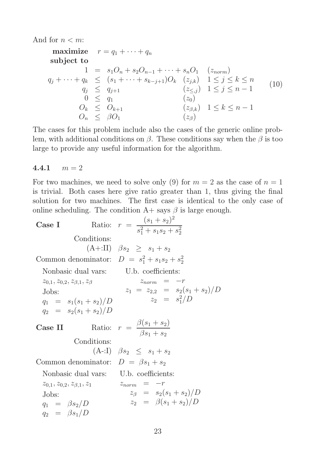And for  $n < m$ :

maximize 
$$
r = q_1 + \cdots + q_n
$$
  
\nsubject to  
\n
$$
1 = s_1 O_n + s_2 O_{n-1} + \cdots + s_n O_1 \quad (z_{norm})
$$
\n
$$
q_j + \cdots + q_k \le (s_1 + \cdots + s_{k-j+1}) O_k \quad (z_{j,k}) \quad 1 \le j \le k \le n
$$
\n
$$
q_j \le q_{j+1} \quad (z_{\le j}) \quad 1 \le j \le n-1
$$
\n
$$
0 \le q_1 \quad (z_0)
$$
\n
$$
O_k \le O_{k+1} \quad (z_{\beta,k}) \quad 1 \le k \le n-1
$$
\n
$$
O_n \le \beta O_1 \quad (z_\beta)
$$

The cases for this problem include also the cases of the generic online problem, with additional conditions on  $\beta$ . These conditions say when the  $\beta$  is too large to provide any useful information for the algorithm.

#### 4.4.1  $m = 2$

For two machines, we need to solve only (9) for  $m = 2$  as the case of  $n = 1$ is trivial. Both cases here give ratio greater than 1, thus giving the final solution for two machines. The first case is identical to the only case of online scheduling. The condition  $A+$  says  $\beta$  is large enough.

**Case I** Ratio:  $r =$  $(s_1 + s_2)^2$  $s_1^2 + s_1 s_2 + s_2^2$ 2 Conditions:  $(A+:II)$   $\beta s_2 \geq s_1 + s_2$ Common denominator:  $D = s_1^2 + s_1 s_2 + s_2^2$ 2 Nonbasic dual vars:  $z_{0,1}, z_{0,2}, z_{\beta,1}, z_{\beta}$ Jobs:  $q_1 = s_1(s_1 + s_2)/D$  $q_2 = s_2(s_1 + s_2)/D$ U.b. coefficients:  $z_{norm} = -r$  $z_1 = z_{2,2} = s_2(s_1 + s_2)/D$  $z_2 = s_1^2$  $\frac{2}{1}/D$ **Case II** Ratio:  $r =$  $\beta(s_1 + s_2)$  $\beta s_1 + s_2$ Conditions:  $(A -:I)$   $\beta s_2 \leq s_1 + s_2$ Common denominator:  $D = \beta s_1 + s_2$ Nonbasic dual vars:  $z_{0,1}, z_{0,2}, z_{\beta,1}, z_1$ Jobs:  $q_1 = \beta s_2/D$  $q_2 = \beta s_1/D$ U.b. coefficients:  $z_{norm}$  =  $-r$  $z_{\beta} = s_2(s_1 + s_2)/D$  $z_2 = \beta(s_1 + s_2)/D$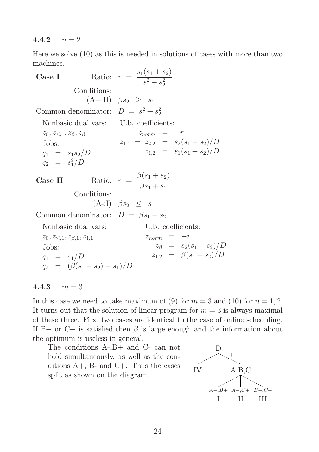4.4.2  $n = 2$ 

Here we solve (10) as this is needed in solutions of cases with more than two machines.

| $\text{Case I}$                           | Ratio: $r = \frac{s_1(s_1 + s_2)}{s_1^2 + s_2^2}$     |
|-------------------------------------------|-------------------------------------------------------|
| Conditions:                               | $(A+:H)$ $\beta s_2 \geq s_1$                         |
| Common denominator: $D = s_1^2 + s_2^2$   |                                                       |
| Nonbasic dual vars: U.b. coefficients:    |                                                       |
| $z_0, z_{\leq 1}, z_{\beta}, z_{\beta,1}$ | $z_{norm}$ = $-r$                                     |
| Jobs:                                     | $z_{1,1} = z_{2,2} = s_2(s_1 + s_2)/D$                |
| $q_1 = s_1 s_2/D$<br>$q_2 = s_1^2/D$      | $z_{1,2} = s_1(s_1 + s_2)/D$                          |
| Case II                                   | Ratio: $r = \frac{\beta(s_1 + s_2)}{\beta s_1 + s_2}$ |
| Conditions:                               |                                                       |
|                                           | $(A-1)$ $\beta s_2 \leq s_1$                          |
| Common denominator: $D = \beta s_1 + s_2$ |                                                       |
| Nonbasic dual vars:                       | U.b. coefficients:                                    |
| $z_0, z_{\leq,1}, z_{\beta,1}, z_{1,1}$   | $z_{norm}$ = $-r$                                     |
| Jobs:                                     | $z_{\beta} = s_2(s_1 + s_2)/D$                        |
| $q_1 = s_1/D$                             | $z_{1,2} = \beta(s_1+s_2)/D$                          |
| $q_2 = (\beta(s_1 + s_2) - s_1)/D$        |                                                       |

#### 4.4.3  $m = 3$

In this case we need to take maximum of (9) for  $m = 3$  and (10) for  $n = 1, 2$ . It turns out that the solution of linear program for  $m = 3$  is always maximal of these three. First two cases are identical to the case of online scheduling. If B+ or C+ is satisfied then  $\beta$  is large enough and the information about the optimum is useless in general.

The conditions A-,B+ and C- can not hold simultaneously, as well as the conditions  $A+$ ,  $B-$  and  $C+$ . Thus the cases split as shown on the diagram.

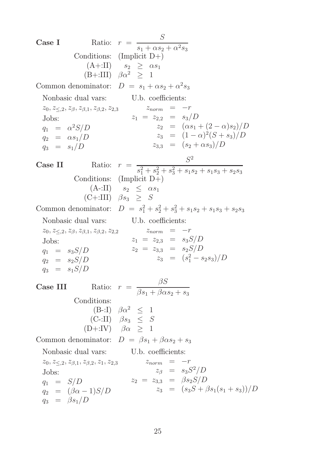**Case I** Ratio:  $r =$  $\mathcal{S}_{0}$  $s_1 + \alpha s_2 + \alpha^2 s_3$ Conditions: (Implicit  $D+$ )  $(A+:H)$   $s_2 \geq \alpha s_1$  $(B+:III)$   $\beta \alpha^2 \geq 1$ Common denominator:  $D = s_1 + \alpha s_2 + \alpha^2 s_3$ Nonbasic dual vars:  $z_0, z_{\leq 2}, z_{\beta}, z_{\beta,1}, z_{\beta,2}, z_{2,3}$ Jobs:  $q_1 = \alpha^2 S/D$  $q_2 = \alpha s_1/D$  $q_3 = s_1/D$ U.b. coefficients:  $z_{norm}$  =  $-r$  $z_1 = z_{2,2} = s_3/D$  $z_2 = (\alpha s_1 + (2 - \alpha)s_2)/D$  $z_3 = (1 - \alpha)^2 (S + s_3) / D$  $z_3$ <sub>3</sub> =  $(s_2 + \alpha s_3)/D$ **Case II** Ratio:  $r =$  $S^2$  $s_1^2 + s_2^2 + s_3^2 + s_1s_2 + s_1s_3 + s_2s_3$ Conditions: (Implicit  $D+$ )  $(A-II)$   $s_2 \leq \alpha s_1$  $(C+:III)$   $\beta s_3 \geq S$ Common denominator:  $D = s_1^2 + s_2^2 + s_3^2 + s_1s_2 + s_1s_3 + s_2s_3$ Nonbasic dual vars:  $z_0, z_{\leq 2}, z_{\beta}, z_{\beta,1}, z_{\beta,2}, z_{2,2}$ Jobs:  $q_1 = s_3S/D$  $q_2 = s_2S/D$  $q_3 = s_1S/D$ U.b. coefficients:  $z_{norm}$  =  $-r$  $z_1 = z_{2,3} = s_3 S/D$  $z_2 = z_{3,3} = s_2S/D$  $z_3 = (s_1^2 - s_2 s_3)/D$ **Case III** Ratio:  $r =$  $\beta S$  $\beta s_1 + \beta \alpha s_2 + s_3$ Conditions:  $(B-1)$   $\beta \alpha^2 \leq 1$  $(C$ -:II)  $\beta s_3 \leq S$  $(D+:IV)$   $\beta \alpha \geq 1$ Common denominator:  $D = \beta s_1 + \beta \alpha s_2 + s_3$ Nonbasic dual vars:  $z_0, z_{\leq,2}, z_{\beta,1}, z_{\beta,2}, z_1, z_{2,3}$ Jobs:  $q_1 = S/D$  $q_2 = (\beta \alpha - 1)S/D$  $q_3 = \beta s_1/D$ U.b. coefficients:  $z_{norm}$  =  $-r$  $z_{\beta}$  =  $s_3S^2/D$  $z_2 = z_{3,3} = \beta s_2 S/D$  $z_3 = (s_3S + \beta s_1(s_1 + s_3))/D$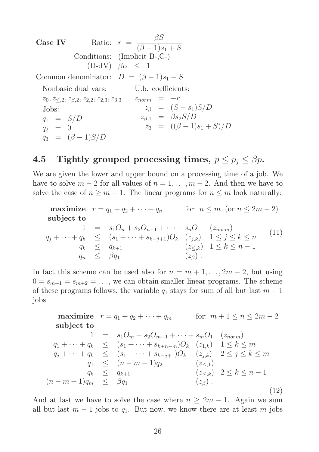**Case IV** Ratio:  $r =$  $\beta S$  $(\beta - 1)s_1 + S$ Conditions: (Implicit B-,C-)  $(D-IV)$   $\beta \alpha \leq 1$ Common denominator:  $D = (\beta - 1)s_1 + S$ Nonbasic dual vars:  $z_0, z_{\leq,2}, z_{\beta,2}, z_{2,2}, z_{2,3}, z_{3,3}$ Jobs:  $q_1 = S/D$  $q_2 = 0$  $q_3 = (\beta - 1)S/D$ U.b. coefficients:  $z_{norm}$  =  $-r$  $z_{\beta} = (S - s_1)S/D$  $z_{\beta,1}$  =  $\beta s_2 S/D$  $z_3 = ((\beta - 1)s_1 + S)/D$ 

### 4.5 Tightly grouped processing times,  $p \leq p_j \leq \beta p$ .

We are given the lower and upper bound on a processing time of a job. We have to solve  $m-2$  for all values of  $n=1,\ldots,m-2$ . And then we have to solve the case of  $n \geq m - 1$ . The linear programs for  $n \leq m$  look naturally:

maximize 
$$
r = q_1 + q_2 + \cdots + q_n
$$
 for:  $n \le m$  (or  $n \le 2m - 2$ )  
\nsubject to  
\n
$$
1 = s_1 O_n + s_2 O_{n-1} + \cdots + s_n O_1 \quad (z_{norm})
$$
\n
$$
q_j + \cdots + q_k \le (s_1 + \cdots + s_{k-j+1}) O_k \quad (z_{j,k}) \quad 1 \le j \le k \le n
$$
\n
$$
q_k \le q_{k+1} \quad (z_{\le k}) \quad 1 \le k \le n - 1
$$
\n
$$
q_n \le \beta q_1 \quad (z_{\beta}).
$$
\n(11)

In fact this scheme can be used also for  $n = m + 1, \ldots, 2m - 2$ , but using  $0 = s_{m+1} = s_{m+2} = \ldots$ , we can obtain smaller linear programs. The scheme of these programs follows, the variable  $q_1$  stays for sum of all but last  $m-1$ jobs.

maximize 
$$
r = q_1 + q_2 + \cdots + q_m
$$
 for:  $m + 1 \le n \le 2m - 2$   
\nsubject to  
\n
$$
1 = s_1 O_m + s_2 O_{m-1} + \cdots + s_m O_1 \quad (z_{norm})
$$
\n
$$
q_1 + \cdots + q_k \le (s_1 + \cdots + s_{k+n-m}) O_k \quad (z_{1,k}) \quad 1 \le k \le m
$$
\n
$$
q_j + \cdots + q_k \le (s_1 + \cdots + s_{k-j+1}) O_k \quad (z_{j,k}) \quad 2 \le j \le k \le m
$$
\n
$$
q_1 \le (n - m + 1) q_2 \quad (z_{\le,1})
$$
\n
$$
q_k \le q_{k+1} \quad (z_{\le,k}) \quad 2 \le k \le n - 1
$$
\n
$$
(n - m + 1) q_m \le \beta q_1 \quad (z_\beta).
$$
\n(12)

And at last we have to solve the case where  $n \geq 2m - 1$ . Again we sum all but last  $m - 1$  jobs to  $q_1$ . But now, we know there are at least m jobs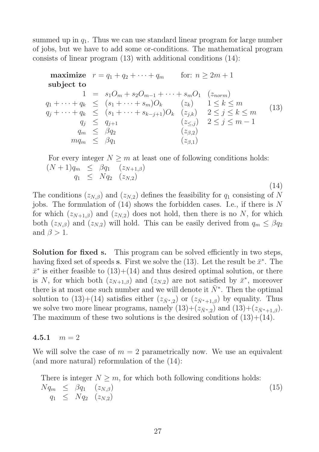summed up in  $q_1$ . Thus we can use standard linear program for large number of jobs, but we have to add some or-conditions. The mathematical program consists of linear program (13) with additional conditions (14):

maximize 
$$
r = q_1 + q_2 + \cdots + q_m
$$
 for:  $n \ge 2m + 1$   
\nsubject to  
\n
$$
1 = s_1 O_m + s_2 O_{m-1} + \cdots + s_m O_1 \quad (z_{norm})
$$
\n
$$
q_1 + \cdots + q_k \le (s_1 + \cdots + s_m) O_k \quad (z_k) \quad 1 \le k \le m
$$
\n
$$
q_j + \cdots + q_k \le (s_1 + \cdots + s_{k-j+1}) O_k \quad (z_{j,k}) \quad 2 \le j \le k \le m
$$
\n
$$
q_j \le q_{j+1} \quad (z_{\le j}) \quad 2 \le j \le m - 1
$$
\n
$$
q_m \le \beta q_2 \quad (z_{\beta,1})
$$
\n
$$
m q_m \le \beta q_1 \quad (z_{\beta,1})
$$

For every integer  $N \geq m$  at least one of following conditions holds:  $(N+1)q_m \leq \beta q_1 \ (z_{N+1,\beta})$  $q_1 \leq Nq_2 \ (z_{N,2})$ (14)

The conditions  $(z_{N,\beta})$  and  $(z_{N,2})$  defines the feasibility for  $q_1$  consisting of N jobs. The formulation of  $(14)$  shows the forbidden cases. I.e., if there is N for which  $(z_{N+1,\beta})$  and  $(z_{N,2})$  does not hold, then there is no N, for which both  $(z_{N,\beta})$  and  $(z_{N,2})$  will hold. This can be easily derived from  $q_m \leq \beta q_2$ and  $\beta > 1$ .

Solution for fixed s. This program can be solved efficiently in two steps, having fixed set of speeds s. First we solve the  $(13)$ . Let the result be  $\bar{x}^*$ . The  $\bar{x}^*$  is either feasible to  $(13)+(14)$  and thus desired optimal solution, or there is N, for which both  $(z_{N+1,\beta})$  and  $(z_{N,2})$  are not satisfied by  $\bar{x}^*$ , moreover there is at most one such number and we will denote it  $\bar{N}^*$ . Then the optimal solution to  $(13)+(14)$  satisfies either  $(z_{\bar{N}^*,2})$  or  $(z_{\bar{N}^*+1,\beta})$  by equality. Thus we solve two more linear programs, namely  $(13)+(z_{\bar{N}^*,2})$  and  $(13)+(z_{\bar{N}^*+1,\beta})$ . The maximum of these two solutions is the desired solution of  $(13)+(14)$ .

#### 4.5.1  $m = 2$

We will solve the case of  $m = 2$  parametrically now. We use an equivalent (and more natural) reformulation of the (14):

There is integer 
$$
N \geq m
$$
, for which both following conditions holds:  $Nq_m \leq \beta q_1 \quad (z_{N,\beta})$   $q_1 \leq Nq_2 \quad (z_{N,2})$  (15)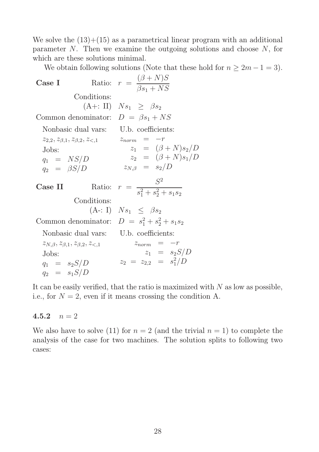We solve the  $(13)+(15)$  as a parametrical linear program with an additional parameter  $N$ . Then we examine the outgoing solutions and choose  $N$ , for which are these solutions minimal.

We obtain following solutions (Note that these hold for  $n \geq 2m - 1 = 3$ ).

| $\rm Case~I$                                 |                                                     | Ratio: $r = \frac{(\beta + N)S}{\beta s_1 + NS}$                                                     |
|----------------------------------------------|-----------------------------------------------------|------------------------------------------------------------------------------------------------------|
|                                              | Conditions:                                         | $(A +: II)$ $Ns_1 \geq \beta s_2$                                                                    |
|                                              |                                                     | Common denominator: $D = \beta s_1 + NS$                                                             |
|                                              |                                                     | Nonbasic dual vars: U.b. coefficients:                                                               |
| Jobs:<br>$q_1$ = $NS/D$<br>$q_2 = \beta S/D$ | $z_{2,2}, z_{\beta,1}, z_{\beta,2}, z_{\leq,1}$     | $z_{norm}$ = $-r$<br>$z_1 = (\beta + N)s_2/D$<br>$z_2 = (\beta + N)s_1/D$<br>$z_{N,\beta}$ = $s_2/D$ |
| $\text{Case II}$                             | Conditions:                                         | Ratio: $r = \frac{S^2}{s_1^2 + s_2^2 + s_1 s_2}$                                                     |
|                                              |                                                     | $(A-1)$ $Ns_1 \leq \beta s_2$                                                                        |
|                                              |                                                     | Common denominator: $D = s_1^2 + s_2^2 + s_1 s_2$                                                    |
|                                              |                                                     | Nonbasic dual vars: U.b. coefficients:                                                               |
|                                              | $z_{N,\beta}, z_{\beta,1}, z_{\beta,2}, z_{\leq,1}$ | $z_{norm} = -r$                                                                                      |
| Jobs:<br>$q_1 = s_2 S/D$<br>$q_2 = s_1 S/D$  |                                                     | $z_1 = s_2 S/D$<br>$z_2 = z_{2,2} = s_1^2/D$                                                         |

It can be easily verified, that the ratio is maximized with  $N$  as low as possible, i.e., for  $N = 2$ , even if it means crossing the condition A.

### 4.5.2  $n = 2$

We also have to solve (11) for  $n = 2$  (and the trivial  $n = 1$ ) to complete the analysis of the case for two machines. The solution splits to following two cases: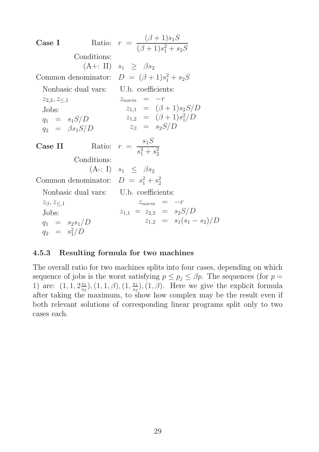**Case I** Ratio:  $r =$  $(\beta+1)s_1S$  $(\beta + 1)s_1^2 + s_2S$ Conditions:  $(A+: II)$   $s_1 \geq \beta s_2$ Common denominator:  $D = (\beta + 1)s_1^2 + s_2S$ Nonbasic dual vars:  $z_{2,2}, z_{\leq,1}$ Jobs:  $q_1 = s_1 S/D$  $q_2 = \beta s_1 S/D$ U.b. coefficients:  $z_{norm} = -r$  $z_{1,1} = (\beta + 1)s_2S/D$  $z_{1,2} = (\beta + 1)s_1^2$  $\frac{2}{1}$ D  $z_{\beta} = s_2S/D$ **Case II** Ratio:  $r =$  $s_1S$  $s_1^2 + s_2^2$ 2 Conditions:  $(A-: I)$   $s_1 \leq \beta s_2$ Common denominator:  $D = s_1^2 + s_2^2$ 2 Nonbasic dual vars:  $z_{\beta}, z_{\leq,1}$ Jobs:  $q_1 = s_2s_1/D$  $q_2 = s_1^2$  $\frac{2}{1}$  $/D$ U.b. coefficients:  $z_{norm}$  =  $-r$  $z_{1,1} = z_{2,2} = s_2S/D$  $z_{1,2}$  =  $s_1(s_1-s_2)/D$ 

#### 4.5.3 Resulting formula for two machines

The overall ratio for two machines splits into four cases, depending on which sequence of jobs is the worst satisfying  $p \leq p_j \leq \beta p$ . The sequences (for  $p =$ 1) are:  $(1, 1, 2\frac{s_1}{s_2})$  $\frac{s_1}{s_2}$ ,  $(1, 1, \beta)$ ,  $(1, \frac{s_1}{s_2})$  $\frac{s_1}{s_2}$ , (1,  $\beta$ ). Here we give the explicit formula after taking the maximum, to show how complex may be the result even if both relevant solutions of corresponding linear programs split only to two cases each.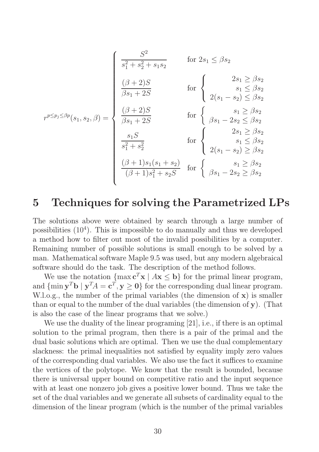$$
r^{p \le p_j \le \beta p}(s_1, s_2, \beta) = \begin{cases} \frac{S^2}{s_1^2 + s_2^2 + s_1 s_2} & \text{for } 2s_1 \le \beta s_2 \\ \frac{(\beta + 2)S}{\beta s_1 + 2S} & \text{for } \begin{cases} 2s_1 \ge \beta s_2 \\ s_1 \le \beta s_2 \end{cases} \\ \frac{(\beta + 2)S}{\beta s_1 + 2S} & \text{for } \begin{cases} s_1 \ge \beta s_2 \\ \beta s_1 - 2s_2 \le \beta s_2 \end{cases} \\ \frac{s_1 S}{s_1^2 + s_2^2} & \text{for } \begin{cases} 2s_1 \ge \beta s_2 \\ s_1 \le \beta s_2 \end{cases} \\ \frac{(\beta + 1)s_1(s_1 + s_2)}{(\beta + 1)s_1^2 + s_2 S} & \text{for } \begin{cases} s_1 \ge \beta s_2 \\ \beta s_1 - 2s_2 \ge \beta s_2 \end{cases} \end{cases}
$$

### 5 Techniques for solving the Parametrized LPs

The solutions above were obtained by search through a large number of possibilities  $(10<sup>4</sup>)$ . This is impossible to do manually and thus we developed a method how to filter out most of the invalid possibilities by a computer. Remaining number of possible solutions is small enough to be solved by a man. Mathematical software Maple 9.5 was used, but any modern algebraical software should do the task. The description of the method follows.

We use the notation  $\{\max \mathbf{c}^T \mathbf{x} \mid A\mathbf{x} \leq \mathbf{b}\}\)$  for the primal linear program, and  $\{\min \mathbf{y}^T \mathbf{b} \mid \mathbf{y}^T A = \mathbf{c}^T, \mathbf{y} \geq 0\}$  for the corresponding dual linear program. W.l.o.g., the number of the primal variables (the dimension of x) is smaller than or equal to the number of the dual variables (the dimension of y). (That is also the case of the linear programs that we solve.)

We use the duality of the linear programing [21], i.e., if there is an optimal solution to the primal program, then there is a pair of the primal and the dual basic solutions which are optimal. Then we use the dual complementary slackness: the primal inequalities not satisfied by equality imply zero values of the corresponding dual variables. We also use the fact it suffices to examine the vertices of the polytope. We know that the result is bounded, because there is universal upper bound on competitive ratio and the input sequence with at least one nonzero job gives a positive lower bound. Thus we take the set of the dual variables and we generate all subsets of cardinality equal to the dimension of the linear program (which is the number of the primal variables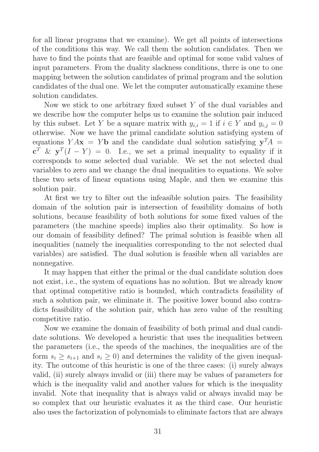for all linear programs that we examine). We get all points of intersections of the conditions this way. We call them the solution candidates. Then we have to find the points that are feasible and optimal for some valid values of input parameters. From the duality slackness conditions, there is one to one mapping between the solution candidates of primal program and the solution candidates of the dual one. We let the computer automatically examine these solution candidates.

Now we stick to one arbitrary fixed subset Y of the dual variables and we describe how the computer helps us to examine the solution pair induced by this subset. Let Y be a square matrix with  $y_{i,i} = 1$  if  $i \in Y$  and  $y_{i,j} = 0$ otherwise. Now we have the primal candidate solution satisfying system of equations  $Y A x = Y b$  and the candidate dual solution satisfying  $y<sup>T</sup> A =$  ${\bf c}^T$  &  ${\bf y}^T(I - Y) = 0$ . I.e., we set a primal inequality to equality if it corresponds to some selected dual variable. We set the not selected dual variables to zero and we change the dual inequalities to equations. We solve these two sets of linear equations using Maple, and then we examine this solution pair.

At first we try to filter out the infeasible solution pairs. The feasibility domain of the solution pair is intersection of feasibility domains of both solutions, because feasibility of both solutions for some fixed values of the parameters (the machine speeds) implies also their optimality. So how is our domain of feasibility defined? The primal solution is feasible when all inequalities (namely the inequalities corresponding to the not selected dual variables) are satisfied. The dual solution is feasible when all variables are nonnegative.

It may happen that either the primal or the dual candidate solution does not exist, i.e., the system of equations has no solution. But we already know that optimal competitive ratio is bounded, which contradicts feasibility of such a solution pair, we eliminate it. The positive lower bound also contradicts feasibility of the solution pair, which has zero value of the resulting competitive ratio.

Now we examine the domain of feasibility of both primal and dual candidate solutions. We developed a heuristic that uses the inequalities between the parameters (i.e., the speeds of the machines, the inequalities are of the form  $s_i \geq s_{i+1}$  and  $s_i \geq 0$ ) and determines the validity of the given inequality. The outcome of this heuristic is one of the three cases: (i) surely always valid, (ii) surely always invalid or (iii) there may be values of parameters for which is the inequality valid and another values for which is the inequality invalid. Note that inequality that is always valid or always invalid may be so complex that our heuristic evaluates it as the third case. Our heuristic also uses the factorization of polynomials to eliminate factors that are always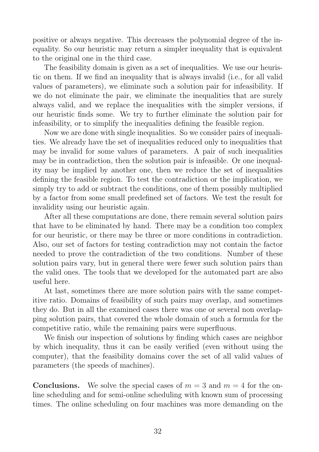positive or always negative. This decreases the polynomial degree of the inequality. So our heuristic may return a simpler inequality that is equivalent to the original one in the third case.

The feasibility domain is given as a set of inequalities. We use our heuristic on them. If we find an inequality that is always invalid (i.e., for all valid values of parameters), we eliminate such a solution pair for infeasibility. If we do not eliminate the pair, we eliminate the inequalities that are surely always valid, and we replace the inequalities with the simpler versions, if our heuristic finds some. We try to further eliminate the solution pair for infeasibility, or to simplify the inequalities defining the feasible region.

Now we are done with single inequalities. So we consider pairs of inequalities. We already have the set of inequalities reduced only to inequalities that may be invalid for some values of parameters. A pair of such inequalities may be in contradiction, then the solution pair is infeasible. Or one inequality may be implied by another one, then we reduce the set of inequalities defining the feasible region. To test the contradiction or the implication, we simply try to add or subtract the conditions, one of them possibly multiplied by a factor from some small predefined set of factors. We test the result for invalidity using our heuristic again.

After all these computations are done, there remain several solution pairs that have to be eliminated by hand. There may be a condition too complex for our heuristic, or there may be three or more conditions in contradiction. Also, our set of factors for testing contradiction may not contain the factor needed to prove the contradiction of the two conditions. Number of these solution pairs vary, but in general there were fewer such solution pairs than the valid ones. The tools that we developed for the automated part are also useful here.

At last, sometimes there are more solution pairs with the same competitive ratio. Domains of feasibility of such pairs may overlap, and sometimes they do. But in all the examined cases there was one or several non overlapping solution pairs, that covered the whole domain of such a formula for the competitive ratio, while the remaining pairs were superfluous.

We finish our inspection of solutions by finding which cases are neighbor by which inequality, thus it can be easily verified (even without using the computer), that the feasibility domains cover the set of all valid values of parameters (the speeds of machines).

**Conclusions.** We solve the special cases of  $m = 3$  and  $m = 4$  for the online scheduling and for semi-online scheduling with known sum of processing times. The online scheduling on four machines was more demanding on the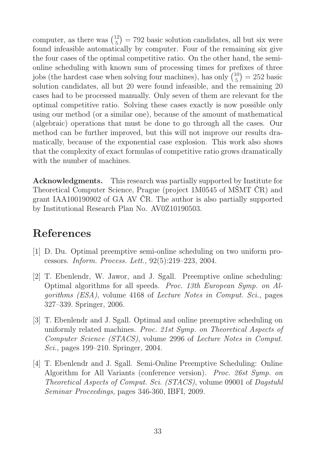computer, as there was  $\binom{12}{5}$  $\binom{12}{5}$  = 792 basic solution candidates, all but six were found infeasible automatically by computer. Four of the remaining six give the four cases of the optimal competitive ratio. On the other hand, the semionline scheduling with known sum of processing times for prefixes of three jobs (the hardest case when solving four machines), has only  $\binom{10}{5}$  $\binom{10}{5} = 252$  basic solution candidates, all but 20 were found infeasible, and the remaining 20 cases had to be processed manually. Only seven of them are relevant for the optimal competitive ratio. Solving these cases exactly is now possible only using our method (or a similar one), because of the amount of mathematical (algebraic) operations that must be done to go through all the cases. Our method can be further improved, but this will not improve our results dramatically, because of the exponential case explosion. This work also shows that the complexity of exact formulas of competitive ratio grows dramatically with the number of machines.

Acknowledgments. This research was partially supported by Institute for Theoretical Computer Science, Prague (project 1M0545 of MŠMT ČR) and grant IAA100190902 of GA AV ČR. The author is also partially supported by Institutional Research Plan No. AV0Z10190503.

## References

- [1] D. Du. Optimal preemptive semi-online scheduling on two uniform processors. Inform. Process. Lett., 92(5):219–223, 2004.
- [2] T. Ebenlendr, W. Jawor, and J. Sgall. Preemptive online scheduling: Optimal algorithms for all speeds. Proc. 13th European Symp. on Algorithms (ESA), volume 4168 of Lecture Notes in Comput. Sci., pages 327–339. Springer, 2006.
- [3] T. Ebenlendr and J. Sgall. Optimal and online preemptive scheduling on uniformly related machines. Proc. 21st Symp. on Theoretical Aspects of Computer Science (STACS), volume 2996 of Lecture Notes in Comput. Sci., pages 199–210. Springer, 2004.
- [4] T. Ebenlendr and J. Sgall. Semi-Online Preemptive Scheduling: Online Algorithm for All Variants (conference version). Proc. 26st Symp. on Theoretical Aspects of Comput. Sci. (STACS), volume 09001 of Dagstuhl Seminar Proceedings, pages 346-360, IBFI, 2009.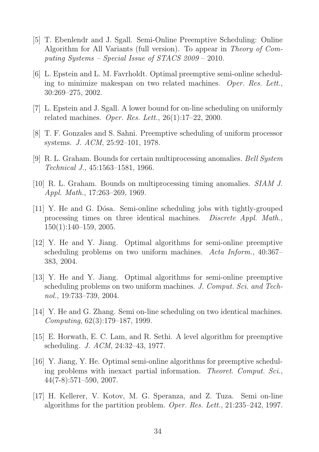- [5] T. Ebenlendr and J. Sgall. Semi-Online Preemptive Scheduling: Online Algorithm for All Variants (full version). To appear in Theory of Computing Systems – Special Issue of STACS 2009 – 2010.
- [6] L. Epstein and L. M. Favrholdt. Optimal preemptive semi-online scheduling to minimize makespan on two related machines. Oper. Res. Lett., 30:269–275, 2002.
- [7] L. Epstein and J. Sgall. A lower bound for on-line scheduling on uniformly related machines. *Oper. Res. Lett.*,  $26(1):17-22$ ,  $2000$ .
- [8] T. F. Gonzales and S. Sahni. Preemptive scheduling of uniform processor systems. J. ACM, 25:92–101, 1978.
- [9] R. L. Graham. Bounds for certain multiprocessing anomalies. Bell System Technical J., 45:1563–1581, 1966.
- [10] R. L. Graham. Bounds on multiprocessing timing anomalies. SIAM J. Appl. Math., 17:263–269, 1969.
- [11] Y. He and G. Dósa. Semi-online scheduling jobs with tightly-grouped processing times on three identical machines. Discrete Appl. Math., 150(1):140–159, 2005.
- [12] Y. He and Y. Jiang. Optimal algorithms for semi-online preemptive scheduling problems on two uniform machines. Acta Inform., 40:367– 383, 2004.
- [13] Y. He and Y. Jiang. Optimal algorithms for semi-online preemptive scheduling problems on two uniform machines. J. Comput. Sci. and Technol., 19:733–739, 2004.
- [14] Y. He and G. Zhang. Semi on-line scheduling on two identical machines. Computing, 62(3):179–187, 1999.
- [15] E. Horwath, E. C. Lam, and R. Sethi. A level algorithm for preemptive scheduling. J. ACM, 24:32–43, 1977.
- [16] Y. Jiang, Y. He. Optimal semi-online algorithms for preemptive scheduling problems with inexact partial information. Theoret. Comput. Sci., 44(7-8):571–590, 2007.
- [17] H. Kellerer, V. Kotov, M. G. Speranza, and Z. Tuza. Semi on-line algorithms for the partition problem. Oper. Res. Lett., 21:235–242, 1997.